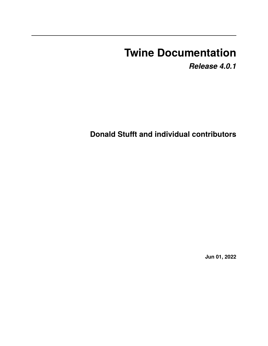# **Twine Documentation**

*Release 4.0.1*

**Donald Stufft and individual contributors**

**Jun 01, 2022**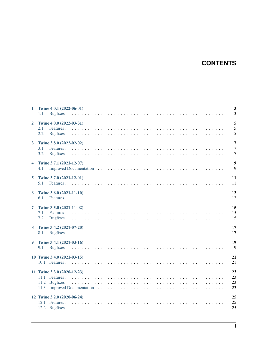# **CONTENTS**

| $\mathbf{1}$         | Twine 4.0.1 (2022-06-01)<br>1.1        | $\overline{\mathbf{3}}$<br>$\overline{3}$          |
|----------------------|----------------------------------------|----------------------------------------------------|
| $\overline{2}$       | Twine 4.0.0 (2022-03-31)<br>2.1<br>2.2 | 5<br>5<br>5                                        |
| $\mathbf{3}$         | Twine 3.8.0 (2022-02-02)<br>3.1<br>3.2 | $\overline{7}$<br>$\overline{7}$<br>$\overline{7}$ |
| $\blacktriangleleft$ | Twine 3.7.1 (2021-12-07)<br>4.1        | 9<br>-9                                            |
| 5                    | Twine 3.7.0 (2021-12-01)<br>5.1        | 11<br>11                                           |
| 6                    | Twine 3.6.0 (2021-11-10)<br>6.1        | 13<br>13                                           |
| 7                    | Twine 3.5.0 (2021-11-02)<br>7.1<br>7.2 | 15<br>15<br>15                                     |
| 8                    | Twine 3.4.2 (2021-07-20)<br>8.1        | 17<br>17                                           |
| 9                    | Twine 3.4.1 (2021-03-16)<br>9.1        | 19<br>19                                           |
|                      | 10 Twine 3.4.0 (2021-03-15)            | 21<br>21                                           |
|                      | 11 Twine 3.3.0 (2020-12-23)            | 23<br>23<br>23<br>23                               |
|                      | 12 Twine 3.2.0 (2020-06-24)            | 25<br>25<br>25                                     |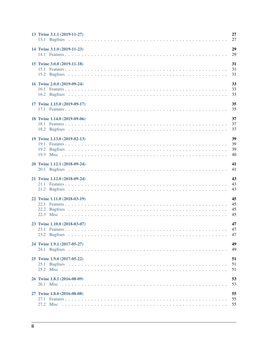| 13 Twine 3.1.1 (2019-11-27)  | 27                   |
|------------------------------|----------------------|
| 14 Twine 3.1.0 (2019-11-23)  | 29<br>29             |
| 15 Twine 3.0.0 (2019-11-18)  | 31<br>31<br>31       |
| 16 Twine 2.0.0 (2019-09-24)  | 33<br>33<br>33       |
| 17 Twine 1.15.0 (2019-09-17) | 35<br>35             |
| 18 Twine 1.14.0 (2019-09-06) | 37<br>37<br>37       |
| 19 Twine 1.13.0 (2019-02-13) | 39<br>39<br>39<br>40 |
| 20 Twine 1.12.1 (2018-09-24) | 41<br>41             |
| 21 Twine 1.12.0 (2018-09-24) | 43<br>43<br>43       |
| 22 Twine 1.11.0 (2018-03-19) | 45<br>45<br>45<br>45 |
| 23 Twine 1.10.0 (2018-03-07) | 47<br>47<br>47       |
| 24 Twine 1.9.1 (2017-05-27)  | 49<br>49             |
| 25 Twine 1.9.0 (2017-05-22)  | 51<br>51<br>51       |
| 26 Twine 1.8.1 (2016-08-09)  | 53<br>53             |
| 27 Twine 1.8.0 (2016-08-08)  | 55<br>55<br>55       |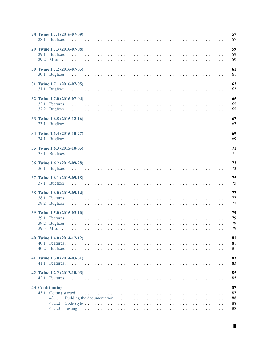| 28 Twine 1.7.4 (2016-07-09) | 57<br>57                   |
|-----------------------------|----------------------------|
| 29 Twine 1.7.3 (2016-07-08) | 59<br>59<br>59             |
| 30 Twine 1.7.2 (2016-07-05) | 61<br>61                   |
| 31 Twine 1.7.1 (2016-07-05) | 63<br>63                   |
| 32 Twine 1.7.0 (2016-07-04) | 65<br>65<br>65             |
| 33 Twine 1.6.5 (2015-12-16) | 67<br>67                   |
| 34 Twine 1.6.4 (2015-10-27) | 69<br>69                   |
| 35 Twine 1.6.3 (2015-10-05) | 71<br>71                   |
| 36 Twine 1.6.2 (2015-09-28) | 73<br>73                   |
| 37 Twine 1.6.1 (2015-09-18) | 75<br>75                   |
| 38 Twine 1.6.0 (2015-09-14) | 77<br>77<br>77             |
| 39 Twine 1.5.0 (2015-03-10) | 79<br>79<br>79<br>79       |
| 40 Twine 1.4.0 (2014-12-12) | 81<br>81<br>81             |
| 41 Twine 1.3.0 (2014-03-31) | 83<br>83                   |
| 42 Twine 1.2.2 (2013-10-03) | 85<br>85                   |
| 43 Contributing             | 87<br>87<br>88<br>88<br>88 |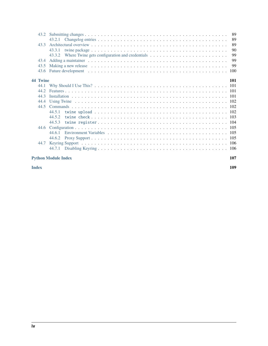| 43.2     |                                                                                                                                                                                                                                | 89  |
|----------|--------------------------------------------------------------------------------------------------------------------------------------------------------------------------------------------------------------------------------|-----|
|          | 43.2.1                                                                                                                                                                                                                         | 89  |
| 43.3     |                                                                                                                                                                                                                                | 89  |
|          | 43.3.1                                                                                                                                                                                                                         | 90  |
|          | Where Twine gets configuration and credentials $\dots \dots \dots \dots \dots \dots \dots \dots \dots$<br>43.3.2                                                                                                               | 99  |
| 43.4     | Adding a maintainer enterpreteration of the contract of the contract of the contract of the contract of the contract of the contract of the contract of the contract of the contract of the contract of the contract of the co | 99  |
| 43.5     |                                                                                                                                                                                                                                | 99  |
| 43.6     |                                                                                                                                                                                                                                | 100 |
| 44 Twine |                                                                                                                                                                                                                                | 101 |
| 44.1     |                                                                                                                                                                                                                                |     |
| 44.2     |                                                                                                                                                                                                                                |     |
| 44.3     |                                                                                                                                                                                                                                |     |
| 44.4     |                                                                                                                                                                                                                                |     |
| 44.5     |                                                                                                                                                                                                                                |     |
|          | 44.5.1                                                                                                                                                                                                                         |     |
|          | 44.5.2                                                                                                                                                                                                                         |     |
|          | 44.5.3                                                                                                                                                                                                                         |     |
| 44.6     |                                                                                                                                                                                                                                |     |
|          | 44.6.1                                                                                                                                                                                                                         |     |
|          | 44.6.2                                                                                                                                                                                                                         |     |
| 44.7     |                                                                                                                                                                                                                                |     |
|          | 44.7.1                                                                                                                                                                                                                         |     |
|          | <b>Python Module Index</b>                                                                                                                                                                                                     | 107 |

**[Index](#page-114-0) 109**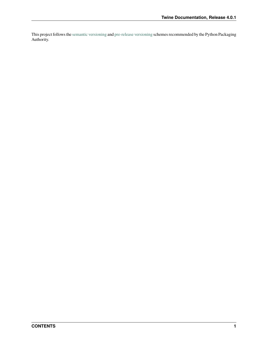This project follows the [semantic versioning](https://packaging.python.org/guides/distributing-packages-using-setuptools/#semantic-versioning-preferred) and [pre-release versioning](https://packaging.python.org/guides/distributing-packages-using-setuptools/#pre-release-versioning) schemes recommended by the Python Packaging Authority.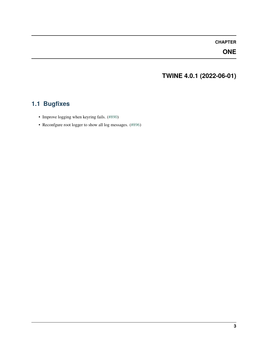### **ONE**

# **TWINE 4.0.1 (2022-06-01)**

# <span id="page-8-1"></span><span id="page-8-0"></span>**1.1 Bugfixes**

- Improve logging when keyring fails. [\(#890\)](https://github.com/pypa/twine/issues/890)
- Reconfgure root logger to show all log messages. [\(#896\)](https://github.com/pypa/twine/issues/896)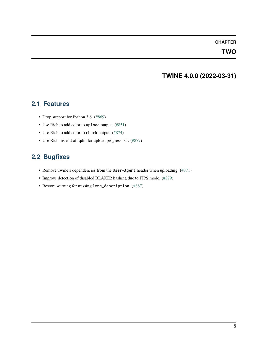#### **TWO**

# **TWINE 4.0.0 (2022-03-31)**

#### <span id="page-10-1"></span><span id="page-10-0"></span>**2.1 Features**

- Drop support for Python 3.6. [\(#869\)](https://github.com/pypa/twine/issues/869)
- Use Rich to add color to upload output. [\(#851\)](https://github.com/pypa/twine/issues/851)
- Use Rich to add color to check output. [\(#874\)](https://github.com/pypa/twine/issues/874)
- Use Rich instead of tqdm for upload progress bar. [\(#877\)](https://github.com/pypa/twine/issues/877)

### <span id="page-10-2"></span>**2.2 Bugfixes**

- Remove Twine's dependencies from the User-Agent header when uploading. [\(#871\)](https://github.com/pypa/twine/issues/871)
- Improve detection of disabled BLAKE2 hashing due to FIPS mode. [\(#879\)](https://github.com/pypa/twine/issues/879)
- Restore warning for missing long\_description. [\(#887\)](https://github.com/pypa/twine/issues/887)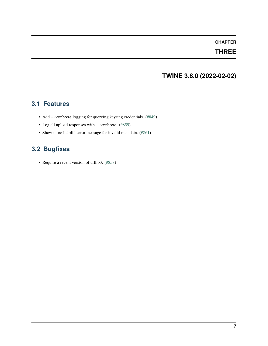### **THREE**

# **TWINE 3.8.0 (2022-02-02)**

### <span id="page-12-1"></span><span id="page-12-0"></span>**3.1 Features**

- Add --verbose logging for querying keyring credentials. [\(#849\)](https://github.com/pypa/twine/issues/849)
- Log all upload responses with --verbose. [\(#859\)](https://github.com/pypa/twine/issues/859)
- Show more helpful error message for invalid metadata. [\(#861\)](https://github.com/pypa/twine/issues/861)

# <span id="page-12-2"></span>**3.2 Bugfixes**

• Require a recent version of urllib3. [\(#858\)](https://github.com/pypa/twine/issues/858)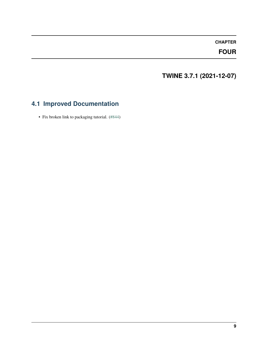### **FOUR**

# **TWINE 3.7.1 (2021-12-07)**

# <span id="page-14-1"></span><span id="page-14-0"></span>**4.1 Improved Documentation**

• Fix broken link to packaging tutorial. [\(#844\)](https://github.com/pypa/twine/issues/844)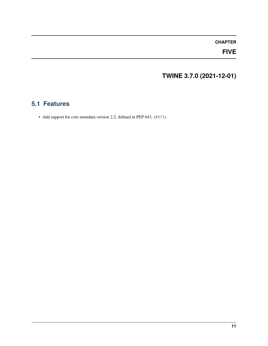### **FIVE**

# **TWINE 3.7.0 (2021-12-01)**

### <span id="page-16-1"></span><span id="page-16-0"></span>**5.1 Features**

• Add support for core metadata version 2.2, defined in PEP 643. [\(#833\)](https://github.com/pypa/twine/issues/833)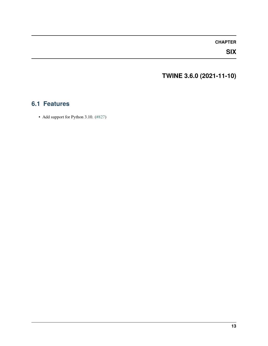### **SIX**

# **TWINE 3.6.0 (2021-11-10)**

### <span id="page-18-1"></span><span id="page-18-0"></span>**6.1 Features**

• Add support for Python 3.10. [\(#827\)](https://github.com/pypa/twine/issues/827)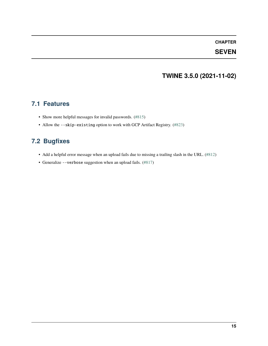### **SEVEN**

# **TWINE 3.5.0 (2021-11-02)**

### <span id="page-20-1"></span><span id="page-20-0"></span>**7.1 Features**

- Show more helpful messages for invalid passwords. [\(#815\)](https://github.com/pypa/twine/issues/815)
- Allow the --skip-existing option to work with GCP Artifact Registry. [\(#823\)](https://github.com/pypa/twine/issues/823)

### <span id="page-20-2"></span>**7.2 Bugfixes**

- Add a helpful error message when an upload fails due to missing a trailing slash in the URL. [\(#812\)](https://github.com/pypa/twine/issues/812)
- Generalize --verbose suggestion when an upload fails. [\(#817\)](https://github.com/pypa/twine/issues/817)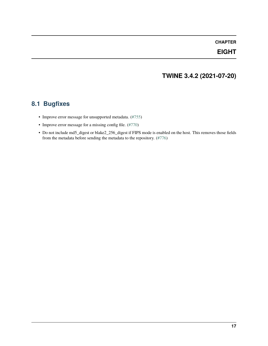### **EIGHT**

# **TWINE 3.4.2 (2021-07-20)**

### <span id="page-22-1"></span><span id="page-22-0"></span>**8.1 Bugfixes**

- Improve error message for unsupported metadata. [\(#755\)](https://github.com/pypa/twine/issues/755)
- Improve error message for a missing config file. [\(#770\)](https://github.com/pypa/twine/issues/770)
- Do not include md5\_digest or blake2\_256\_digest if FIPS mode is enabled on the host. This removes those fields from the metadata before sending the metadata to the repository. [\(#776\)](https://github.com/pypa/twine/issues/776)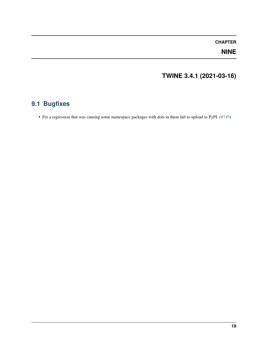### **NINE**

# **TWINE 3.4.1 (2021-03-16)**

# <span id="page-24-1"></span><span id="page-24-0"></span>**9.1 Bugfixes**

• Fix a regression that was causing some namespace packages with dots in them fail to upload to PyPI. [\(#745\)](https://github.com/pypa/twine/issues/745)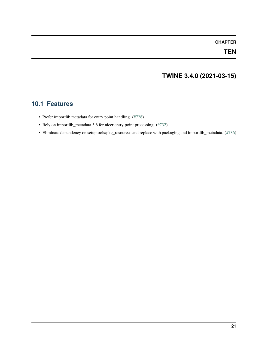#### **TEN**

# **TWINE 3.4.0 (2021-03-15)**

### <span id="page-26-1"></span><span id="page-26-0"></span>**10.1 Features**

- Prefer importlib.metadata for entry point handling. [\(#728\)](https://github.com/pypa/twine/issues/728)
- Rely on importlib\_metadata 3.6 for nicer entry point processing. [\(#732\)](https://github.com/pypa/twine/issues/732)
- Eliminate dependency on setuptools/pkg\_resources and replace with packaging and importlib\_metadata. [\(#736\)](https://github.com/pypa/twine/issues/736)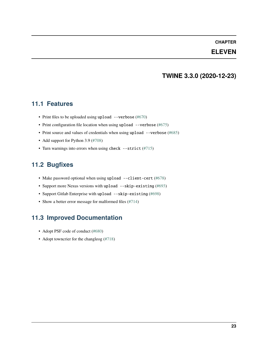#### **ELEVEN**

### **TWINE 3.3.0 (2020-12-23)**

### <span id="page-28-1"></span><span id="page-28-0"></span>**11.1 Features**

- Print files to be uploaded using upload --verbose [\(#670\)](https://github.com/pypa/twine/issues/670)
- Print configuration file location when using upload --verbose [\(#675\)](https://github.com/pypa/twine/issues/675)
- Print source and values of credentials when using upload --verbose [\(#685\)](https://github.com/pypa/twine/issues/685)
- Add support for Python 3.9 [\(#708\)](https://github.com/pypa/twine/issues/708)
- Turn warnings into errors when using check --strict [\(#715\)](https://github.com/pypa/twine/issues/715)

### <span id="page-28-2"></span>**11.2 Bugfixes**

- Make password optional when using upload --client-cert [\(#678\)](https://github.com/pypa/twine/issues/678)
- Support more Nexus versions with upload --skip-existing [\(#693\)](https://github.com/pypa/twine/issues/693)
- Support Gitlab Enterprise with upload --skip-existing [\(#698\)](https://github.com/pypa/twine/issues/698)
- Show a better error message for malformed files [\(#714\)](https://github.com/pypa/twine/issues/714)

### <span id="page-28-3"></span>**11.3 Improved Documentation**

- Adopt PSF code of conduct [\(#680\)](https://github.com/pypa/twine/issues/680)
- Adopt towncrier for the changleog [\(#718\)](https://github.com/pypa/twine/issues/718)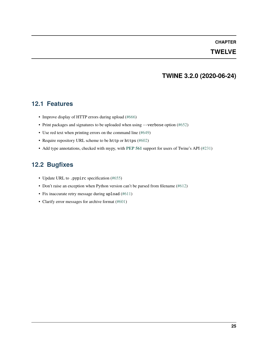#### **TWELVE**

### **TWINE 3.2.0 (2020-06-24)**

#### <span id="page-30-1"></span><span id="page-30-0"></span>**12.1 Features**

- Improve display of HTTP errors during upload [\(#666\)](https://github.com/pypa/twine/issues/666)
- Print packages and signatures to be uploaded when using --verbose option [\(#652\)](https://github.com/pypa/twine/issues/652)
- Use red text when printing errors on the command line [\(#649\)](https://github.com/pypa/twine/issues/649)
- Require repository URL scheme to be http or https [\(#602\)](https://github.com/pypa/twine/issues/602)
- Add type annotations, checked with mypy, with **[PEP 561](https://peps.python.org/pep-0561/)** support for users of Twine's API [\(#231\)](https://github.com/pypa/twine/issues/231)

### <span id="page-30-2"></span>**12.2 Bugfixes**

- Update URL to .pypirc specification [\(#655\)](https://github.com/pypa/twine/issues/655)
- Don't raise an exception when Python version can't be parsed from filename [\(#612\)](https://github.com/pypa/twine/issues/612)
- Fix inaccurate retry message during upload [\(#611\)](https://github.com/pypa/twine/issues/611)
- Clarify error messages for archive format [\(#601\)](https://github.com/pypa/twine/issues/601)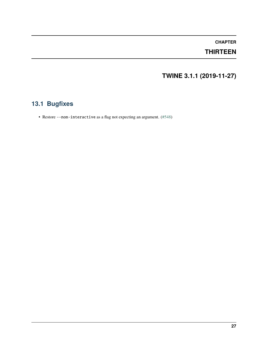### **THIRTEEN**

# **TWINE 3.1.1 (2019-11-27)**

# <span id="page-32-1"></span><span id="page-32-0"></span>**13.1 Bugfixes**

• Restore --non-interactive as a flag not expecting an argument. [\(#548\)](https://github.com/pypa/twine/issues/548)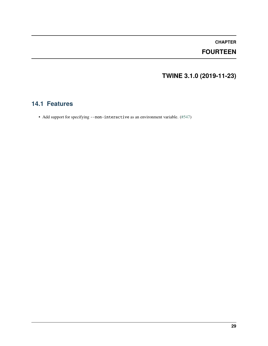### **FOURTEEN**

# **TWINE 3.1.0 (2019-11-23)**

### <span id="page-34-1"></span><span id="page-34-0"></span>**14.1 Features**

• Add support for specifying --non-interactive as an environment variable. [\(#547\)](https://github.com/pypa/twine/issues/547)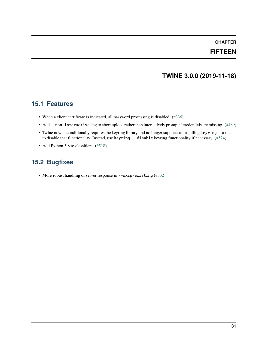#### **FIFTEEN**

### **TWINE 3.0.0 (2019-11-18)**

#### **15.1 Features**

- When a client certificate is indicated, all password processing is disabled. [\(#336\)](https://github.com/pypa/twine/issues/336)
- Add --non-interactive flag to abort upload rather than interactively prompt if credentials are missing. [\(#489\)](https://github.com/pypa/twine/issues/489)
- Twine now unconditionally requires the keyring library and no longer supports uninstalling keyring as a means to disable that functionality. Instead, use keyring --disable keyring functionality if necessary. [\(#524\)](https://github.com/pypa/twine/issues/524)
- Add Python 3.8 to classifiers. [\(#518\)](https://github.com/pypa/twine/issues/518)

### **15.2 Bugfixes**

• More robust handling of server response in --skip-existing [\(#332\)](https://github.com/pypa/twine/issues/332)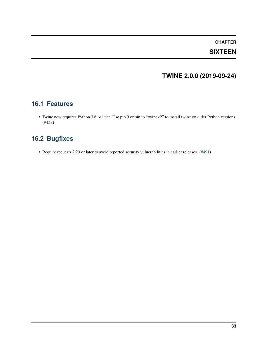#### **SIXTEEN**

## **TWINE 2.0.0 (2019-09-24)**

#### **16.1 Features**

• Twine now requires Python 3.6 or later. Use pip 9 or pin to "twine<2" to install twine on older Python versions. [\(#437\)](https://github.com/pypa/twine/issues/437)

## **16.2 Bugfixes**

• Require requests 2.20 or later to avoid reported security vulnerabilities in earlier releases. [\(#491\)](https://github.com/pypa/twine/issues/491)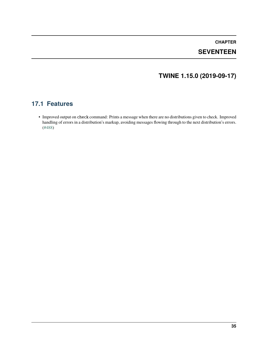### **SEVENTEEN**

### **TWINE 1.15.0 (2019-09-17)**

#### **17.1 Features**

• Improved output on check command: Prints a message when there are no distributions given to check. Improved handling of errors in a distribution's markup, avoiding messages flowing through to the next distribution's errors. [\(#488\)](https://github.com/pypa/twine/issues/488)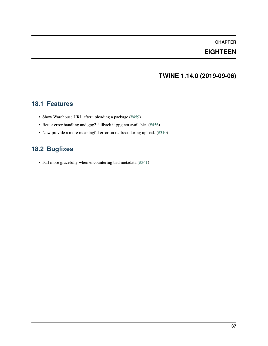#### **EIGHTEEN**

### **TWINE 1.14.0 (2019-09-06)**

#### **18.1 Features**

- Show Warehouse URL after uploading a package [\(#459\)](https://github.com/pypa/twine/issues/459)
- Better error handling and gpg2 fallback if gpg not available. [\(#456\)](https://github.com/pypa/twine/issues/456)
- Now provide a more meaningful error on redirect during upload. [\(#310\)](https://github.com/pypa/twine/issues/310)

### **18.2 Bugfixes**

• Fail more gracefully when encountering bad metadata [\(#341\)](https://github.com/pypa/twine/issues/341)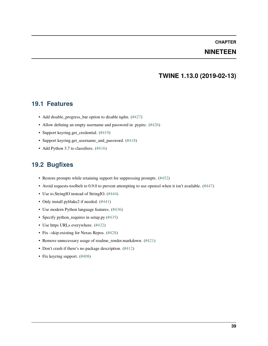#### **NINETEEN**

#### **TWINE 1.13.0 (2019-02-13)**

#### **19.1 Features**

- Add disable\_progress\_bar option to disable tqdm. [\(#427\)](https://github.com/pypa/twine/issues/427)
- Allow defining an empty username and password in .pypirc. [\(#426\)](https://github.com/pypa/twine/issues/426)
- Support keyring.get\_credential. [\(#419\)](https://github.com/pypa/twine/issues/419)
- Support keyring.get\_username\_and\_password. [\(#418\)](https://github.com/pypa/twine/issues/418)
- Add Python 3.7 to classifiers. [\(#416\)](https://github.com/pypa/twine/issues/416)

#### **19.2 Bugfixes**

- Restore prompts while retaining support for suppressing prompts. [\(#452\)](https://github.com/pypa/twine/issues/452)
- Avoid requests-toolbelt to 0.9.0 to prevent attempting to use openssl when it isn't available. [\(#447\)](https://github.com/pypa/twine/issues/447)
- Use io.StringIO instead of StringIO. [\(#444\)](https://github.com/pypa/twine/issues/444)
- Only install pyblake2 if needed. [\(#441\)](https://github.com/pypa/twine/issues/441)
- Use modern Python language features. [\(#436\)](https://github.com/pypa/twine/issues/436)
- Specify python\_requires in setup.py [\(#435\)](https://github.com/pypa/twine/issues/435)
- Use https URLs everywhere. [\(#432\)](https://github.com/pypa/twine/issues/432)
- Fix –skip-existing for Nexus Repos. [\(#428\)](https://github.com/pypa/twine/issues/428)
- Remove unnecessary usage of readme\_render.markdown. [\(#421\)](https://github.com/pypa/twine/issues/421)
- Don't crash if there's no package description. [\(#412\)](https://github.com/pypa/twine/issues/412)
- Fix keyring support. [\(#408\)](https://github.com/pypa/twine/issues/408)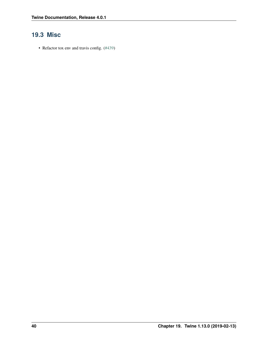### **19.3 Misc**

• Refactor tox env and travis config. [\(#439\)](https://github.com/pypa/twine/issues/439)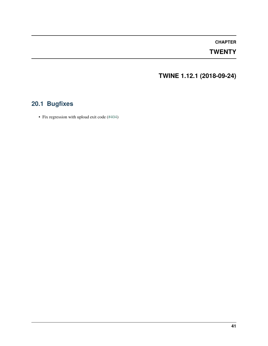#### **TWENTY**

**TWINE 1.12.1 (2018-09-24)**

## **20.1 Bugfixes**

• Fix regression with upload exit code [\(#404\)](https://github.com/pypa/twine/issues/404)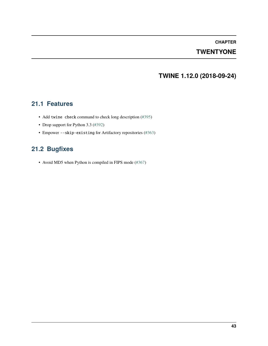#### **TWENTYONE**

### **TWINE 1.12.0 (2018-09-24)**

#### **21.1 Features**

- Add twine check command to check long description [\(#395\)](https://github.com/pypa/twine/issues/395)
- Drop support for Python 3.3 [\(#392\)](https://github.com/pypa/twine/issues/392)
- Empower --skip-existing for Artifactory repositories [\(#363\)](https://github.com/pypa/twine/issues/363)

### **21.2 Bugfixes**

• Avoid MD5 when Python is compiled in FIPS mode [\(#367\)](https://github.com/pypa/twine/issues/367)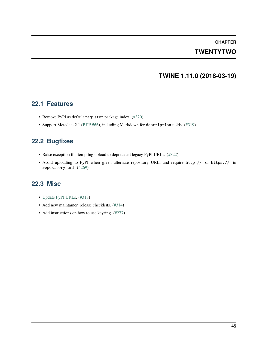### **TWENTYTWO**

### **TWINE 1.11.0 (2018-03-19)**

#### **22.1 Features**

- Remove PyPI as default register package index. [\(#320\)](https://github.com/pypa/twine/issues/320)
- Support Metadata 2.1 (**[PEP 566](https://peps.python.org/pep-0566/)**), including Markdown for description fields. [\(#319\)](https://github.com/pypa/twine/issues/319)

### **22.2 Bugfixes**

- Raise exception if attempting upload to deprecated legacy PyPI URLs. [\(#322\)](https://github.com/pypa/twine/issues/322)
- Avoid uploading to PyPI when given alternate repository URL, and require http:// or https:// in repository\_url. [\(#269\)](https://github.com/pypa/twine/issues/269)

#### **22.3 Misc**

- [Update PyPI URLs.](https://packaging.python.org/guides/migrating-to-pypi-org/) [\(#318\)](https://github.com/pypa/twine/issues/318)
- Add new maintainer, release checklists. [\(#314\)](https://github.com/pypa/twine/issues/314)
- Add instructions on how to use keyring. [\(#277\)](https://github.com/pypa/twine/issues/277)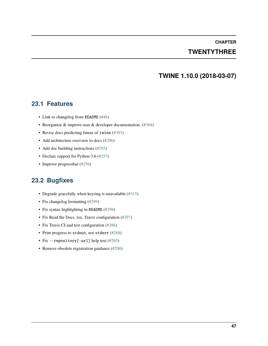#### **TWENTYTHREE**

#### **TWINE 1.10.0 (2018-03-07)**

#### **23.1 Features**

- Link to changelog from README [\(#46\)](https://github.com/pypa/twine/issues/46)
- Reorganize & improve user & developer documentation. [\(#304\)](https://github.com/pypa/twine/issues/304)
- Revise docs predicting future of twine [\(#303\)](https://github.com/pypa/twine/issues/303)
- Add architecture overview to docs [\(#296\)](https://github.com/pypa/twine/issues/296)
- Add doc building instructions [\(#295\)](https://github.com/pypa/twine/issues/295)
- Declare support for Python 3.6 [\(#257\)](https://github.com/pypa/twine/issues/257)
- Improve progressbar [\(#256\)](https://github.com/pypa/twine/issues/256)

#### **23.2 Bugfixes**

- Degrade gracefully when keyring is unavailable [\(#315\)](https://github.com/pypa/twine/issues/315)
- Fix changelog formatting [\(#299\)](https://github.com/pypa/twine/issues/299)
- Fix syntax highlighting in README [\(#298\)](https://github.com/pypa/twine/issues/298)
- Fix Read the Docs, tox, Travis configuration [\(#297\)](https://github.com/pypa/twine/issues/297)
- Fix Travis CI and test configuration [\(#286\)](https://github.com/pypa/twine/issues/286)
- Print progress to stdout, not stderr [\(#268\)](https://github.com/pypa/twine/issues/268)
- Fix --repository[-url] help text [\(#265\)](https://github.com/pypa/twine/issues/265)
- Remove obsolete registration guidance [\(#200\)](https://github.com/pypa/twine/issues/200)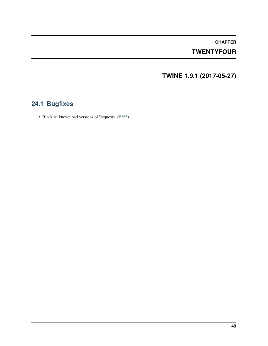### **TWENTYFOUR**

**TWINE 1.9.1 (2017-05-27)**

## **24.1 Bugfixes**

• Blacklist known bad versions of Requests. [\(#253\)](https://github.com/pypa/twine/issues/253)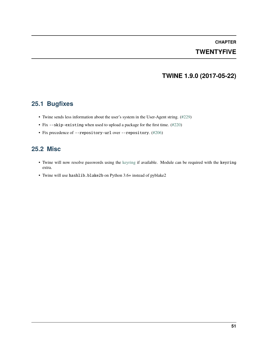## **CHAPTER TWENTYFIVE**

### **TWINE 1.9.0 (2017-05-22)**

### **25.1 Bugfixes**

- Twine sends less information about the user's system in the User-Agent string. [\(#229\)](https://github.com/pypa/twine/issues/229)
- Fix --skip-existing when used to upload a package for the first time. [\(#220\)](https://github.com/pypa/twine/issues/220)
- Fix precedence of --repository-url over --repository. [\(#206\)](https://github.com/pypa/twine/issues/206)

#### **25.2 Misc**

- Twine will now resolve passwords using the [keyring](https://pypi.org/project/keyring/) if available. Module can be required with the keyring extra.
- Twine will use hashlib.blake2b on Python 3.6+ instead of pyblake2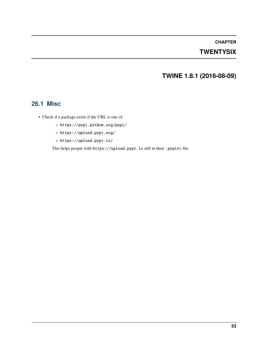### **TWENTYSIX**

### **TWINE 1.8.1 (2016-08-09)**

#### **26.1 Misc**

- Check if a package exists if the URL is one of:
	- **–** https://pypi.python.org/pypi/
	- **–** https://upload.pypi.org/
	- **–** https://upload.pypi.io/

This helps people with https://upload.pypi.io still in their .pypirc file.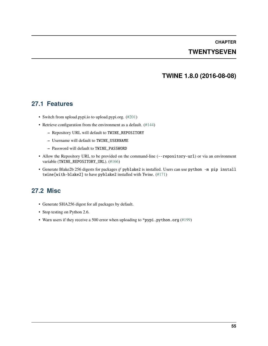### **TWENTYSEVEN**

#### **TWINE 1.8.0 (2016-08-08)**

#### **27.1 Features**

- Switch from upload.pypi.io to upload.pypi.org. [\(#201\)](https://github.com/pypa/twine/issues/201)
- Retrieve configuration from the environment as a default. [\(#144\)](https://github.com/pypa/twine/issues/144)
	- **–** Repository URL will default to TWINE\_REPOSITORY
	- **–** Username will default to TWINE\_USERNAME
	- **–** Password will default to TWINE\_PASSWORD
- Allow the Repository URL to be provided on the command-line (--repository-url) or via an environment variable (TWINE\_REPOSITORY\_URL). [\(#166\)](https://github.com/pypa/twine/issues/166)
- Generate Blake2b 256 digests for packages *if* pyblake2 is installed. Users can use python -m pip install twine[with-blake2] to have pyblake2 installed with Twine. [\(#171\)](https://github.com/pypa/twine/issues/171)

### **27.2 Misc**

- Generate SHA256 digest for all packages by default.
- Stop testing on Python 2.6.
- Warn users if they receive a 500 error when uploading to \*pypi.python.org [\(#199\)](https://github.com/pypa/twine/issues/199)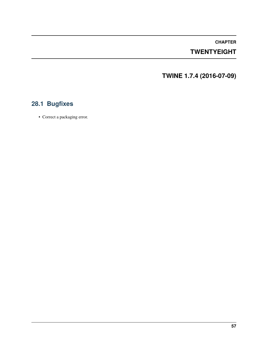### **TWENTYEIGHT**

**TWINE 1.7.4 (2016-07-09)**

## **28.1 Bugfixes**

• Correct a packaging error.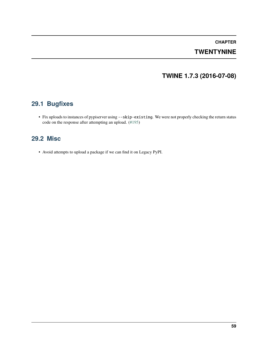## **CHAPTER TWENTYNINE**

### **TWINE 1.7.3 (2016-07-08)**

### **29.1 Bugfixes**

• Fix uploads to instances of pypiserver using --skip-existing. We were not properly checking the return status code on the response after attempting an upload. [\(#195\)](https://github.com/pypa/twine/issues/195)

### **29.2 Misc**

• Avoid attempts to upload a package if we can find it on Legacy PyPI.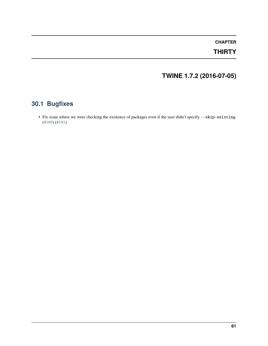### **THIRTY**

## **TWINE 1.7.2 (2016-07-05)**

## **30.1 Bugfixes**

• Fix issue where we were checking the existence of packages even if the user didn't specify --skip-existing. [\(#189\)](https://github.com/pypa/twine/issues/189) [\(#191\)](https://github.com/pypa/twine/issues/191)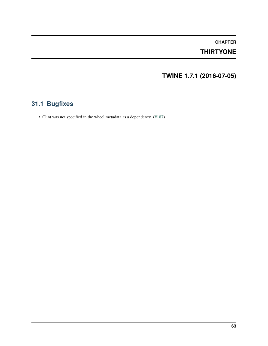### **THIRTYONE**

## **TWINE 1.7.1 (2016-07-05)**

## **31.1 Bugfixes**

• Clint was not specified in the wheel metadata as a dependency. [\(#187\)](https://github.com/pypa/twine/issues/187)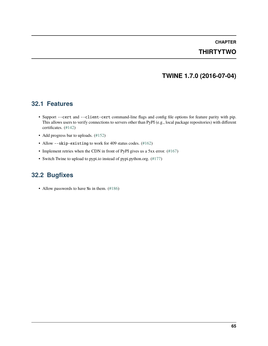## **CHAPTER THIRTYTWO**

### **TWINE 1.7.0 (2016-07-04)**

#### **32.1 Features**

- Support --cert and --client-cert command-line flags and config file options for feature parity with pip. This allows users to verify connections to servers other than PyPI (e.g., local package repositories) with different certificates. [\(#142\)](https://github.com/pypa/twine/issues/142)
- Add progress bar to uploads. [\(#152\)](https://github.com/pypa/twine/issues/152)
- Allow --skip-existing to work for 409 status codes. [\(#162\)](https://github.com/pypa/twine/issues/162)
- Implement retries when the CDN in front of PyPI gives us a 5xx error. [\(#167\)](https://github.com/pypa/twine/issues/167)
- Switch Twine to upload to pypi.io instead of pypi.python.org. [\(#177\)](https://github.com/pypa/twine/issues/177)

### **32.2 Bugfixes**

• Allow passwords to have % in them. [\(#186\)](https://github.com/pypa/twine/issues/186)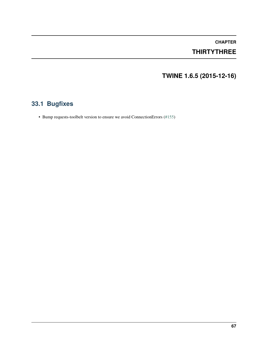## **THIRTYTHREE**

# **TWINE 1.6.5 (2015-12-16)**

# **33.1 Bugfixes**

• Bump requests-toolbelt version to ensure we avoid ConnectionErrors [\(#155\)](https://github.com/pypa/twine/issues/155)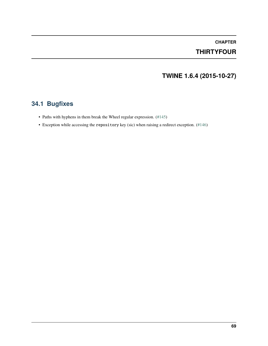# **CHAPTER THIRTYFOUR**

# **TWINE 1.6.4 (2015-10-27)**

# **34.1 Bugfixes**

- Paths with hyphens in them break the Wheel regular expression. [\(#145\)](https://github.com/pypa/twine/issues/145)
- Exception while accessing the repository key (sic) when raising a redirect exception. [\(#146\)](https://github.com/pypa/twine/issues/146)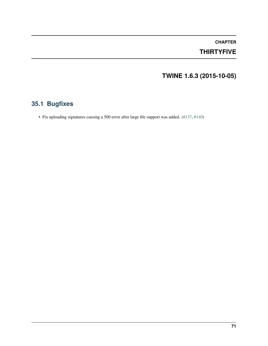## **CHAPTER THIRTYFIVE**

# **TWINE 1.6.3 (2015-10-05)**

# **35.1 Bugfixes**

• Fix uploading signatures causing a 500 error after large file support was added. [\(#137,](https://github.com/pypa/twine/issues/137) [#140\)](https://github.com/pypa/twine/issues/140)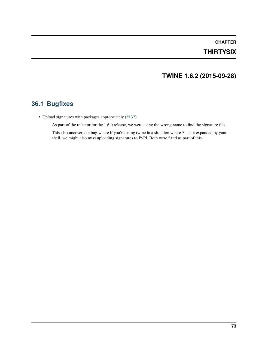## **CHAPTER THIRTYSIX**

## **TWINE 1.6.2 (2015-09-28)**

## **36.1 Bugfixes**

• Upload signatures with packages appropriately [\(#132\)](https://github.com/pypa/twine/issues/132)

As part of the refactor for the 1.6.0 release, we were using the wrong name to find the signature file.

This also uncovered a bug where if you're using twine in a situation where \* is not expanded by your shell, we might also miss uploading signatures to PyPI. Both were fixed as part of this.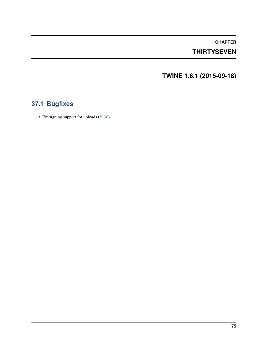## **THIRTYSEVEN**

**TWINE 1.6.1 (2015-09-18)**

# **37.1 Bugfixes**

• Fix signing support for uploads [\(#130\)](https://github.com/pypa/twine/issues/130)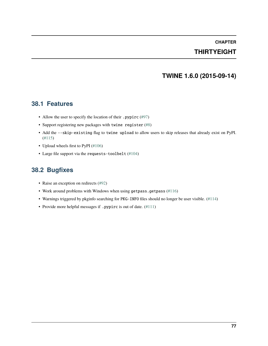# **CHAPTER THIRTYEIGHT**

## **TWINE 1.6.0 (2015-09-14)**

### **38.1 Features**

- Allow the user to specify the location of their .pypirc [\(#97\)](https://github.com/pypa/twine/issues/97)
- Support registering new packages with twine register [\(#8\)](https://github.com/pypa/twine/issues/8)
- Add the --skip-existing flag to twine upload to allow users to skip releases that already exist on PyPI. [\(#115\)](https://github.com/pypa/twine/issues/115)
- Upload wheels first to PyPI [\(#106\)](https://github.com/pypa/twine/issues/106)
- Large file support via the requests-toolbelt [\(#104\)](https://github.com/pypa/twine/issues/104)

## **38.2 Bugfixes**

- Raise an exception on redirects [\(#92\)](https://github.com/pypa/twine/issues/92)
- Work around problems with Windows when using getpass.getpass [\(#116\)](https://github.com/pypa/twine/issues/116)
- Warnings triggered by pkginfo searching for PKG-INFO files should no longer be user visible. [\(#114\)](https://github.com/pypa/twine/issues/114)
- Provide more helpful messages if .pypirc is out of date. [\(#111\)](https://github.com/pypa/twine/issues/111)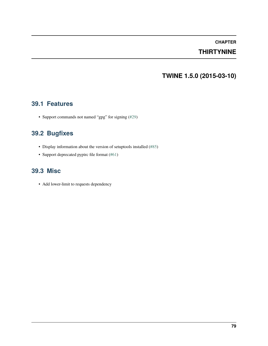## **THIRTYNINE**

## **TWINE 1.5.0 (2015-03-10)**

### **39.1 Features**

• Support commands not named "gpg" for signing [\(#29\)](https://github.com/pypa/twine/issues/29)

## **39.2 Bugfixes**

- Display information about the version of setuptools installed [\(#85\)](https://github.com/pypa/twine/issues/85)
- Support deprecated pypirc file format [\(#61\)](https://github.com/pypa/twine/issues/61)

## **39.3 Misc**

• Add lower-limit to requests dependency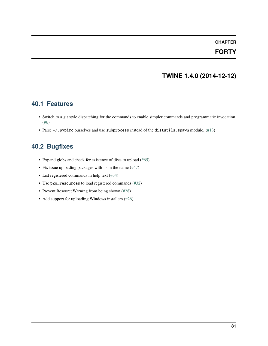### **FORTY**

## **TWINE 1.4.0 (2014-12-12)**

### **40.1 Features**

- Switch to a git style dispatching for the commands to enable simpler commands and programmatic invocation. [\(#6\)](https://github.com/pypa/twine/issues/6)
- Parse  $\sim$ /.pypirc ourselves and use subprocess instead of the distutils.spawn module. [\(#13\)](https://github.com/pypa/twine/issues/13)

## **40.2 Bugfixes**

- Expand globs and check for existence of dists to upload [\(#65\)](https://github.com/pypa/twine/issues/65)
- Fix issue uploading packages with \_s in the name [\(#47\)](https://github.com/pypa/twine/issues/47)
- List registered commands in help text [\(#34\)](https://github.com/pypa/twine/issues/34)
- Use pkg\_resources to load registered commands [\(#32\)](https://github.com/pypa/twine/issues/32)
- Prevent ResourceWarning from being shown [\(#28\)](https://github.com/pypa/twine/issues/28)
- Add support for uploading Windows installers [\(#26\)](https://github.com/pypa/twine/issues/26)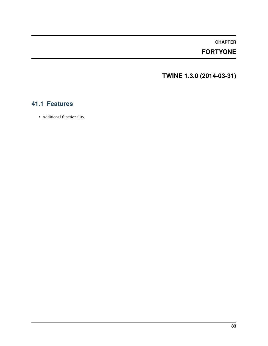## **FORTYONE**

**TWINE 1.3.0 (2014-03-31)**

## **41.1 Features**

• Additional functionality.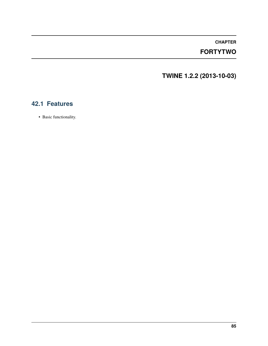## **FORTYTWO**

**TWINE 1.2.2 (2013-10-03)**

## **42.1 Features**

• Basic functionality.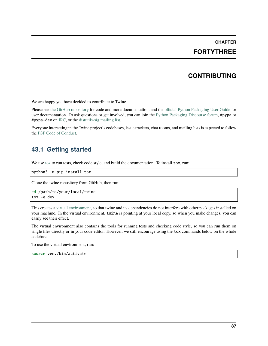### **FORTYTHREE**

### **CONTRIBUTING**

We are happy you have decided to contribute to Twine.

Please see [the GitHub repository](https://github.com/pypa/twine) for code and more documentation, and the [official Python Packaging User Guide](https://packaging.python.org/tutorials/packaging-projects/) for user documentation. To ask questions or get involved, you can join the [Python Packaging Discourse forum,](https://discuss.python.org/c/packaging/) #pypa or #pypa-dev on [IRC,](https://web.libera.chat/#pypa-dev,) or the [distutils-sig mailing list.](https://mail.python.org/mailman3/lists/distutils-sig.python.org/)

Everyone interacting in the Twine project's codebases, issue trackers, chat rooms, and mailing lists is expected to follow the [PSF Code of Conduct.](https://github.com/pypa/.github/blob/main/CODE_OF_CONDUCT.md)

### **43.1 Getting started**

We use [tox](https://tox.readthedocs.io/) to run tests, check code style, and build the documentation. To install tox, run:

python3 -m pip install tox

Clone the twine repository from GitHub, then run:

```
cd /path/to/your/local/twine
tox -e dev
```
This creates a [virtual environment,](https://packaging.python.org/guides/installing-using-pip-and-virtual-environments/) so that twine and its dependencies do not interfere with other packages installed on your machine. In the virtual environment, twine is pointing at your local copy, so when you make changes, you can easily see their effect.

The virtual environment also contains the tools for running tests and checking code style, so you can run them on single files directly or in your code editor. However, we still encourage using the tox commands below on the whole codebase.

To use the virtual environment, run:

source venv/bin/activate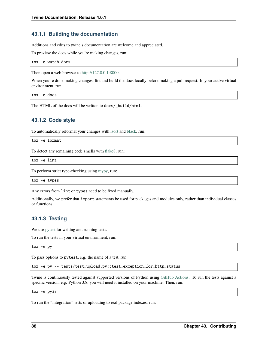### **43.1.1 Building the documentation**

Additions and edits to twine's documentation are welcome and appreciated.

To preview the docs while you're making changes, run:

tox -e watch-docs

Then open a web browser to [http://127.0.0.1:8000.](http://127.0.0.1:8000)

When you're done making changes, lint and build the docs locally before making a pull request. In your active virtual environment, run:

tox -e docs

The HTML of the docs will be written to docs/\_build/html.

### **43.1.2 Code style**

To automatically reformat your changes with [isort](https://timothycrosley.github.io/isort/) and [black,](https://black.readthedocs.io/) run:

tox -e format

To detect any remaining code smells with [flake8,](https://flake8.pycqa.org/) run:

tox -e lint

To perform strict type-checking using [mypy,](https://mypy.readthedocs.io/) run:

tox -e types

Any errors from lint or types need to be fixed manually.

Additionally, we prefer that import statements be used for packages and modules only, rather than individual classes or functions.

### **43.1.3 Testing**

We use [pytest](https://docs.pytest.org/) for writing and running tests.

To run the tests in your virtual environment, run:

tox -e py

To pass options to pytest, e.g. the name of a test, run:

tox -e py -- tests/test\_upload.py::test\_exception\_for\_http\_status

Twine is continuously tested against supported versions of Python using [GitHub Actions.](https://github.com/pypa/twine/actions) To run the tests against a specific version, e.g. Python 3.8, you will need it installed on your machine. Then, run:

tox -e py38

To run the "integration" tests of uploading to real package indexes, run: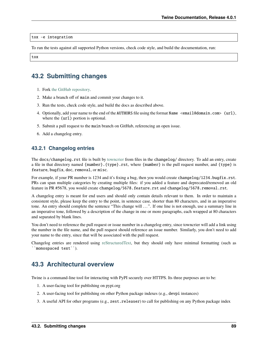#### tox -e integration

To run the tests against all supported Python versions, check code style, and build the documentation, run:

tox

## **43.2 Submitting changes**

- 1. Fork [the GitHub repository.](https://github.com/pypa/twine)
- 2. Make a branch off of main and commit your changes to it.
- 3. Run the tests, check code style, and build the docs as described above.
- 4. Optionally, add your name to the end of the AUTHORS file using the format Name <email@domain.com> (url), where the (url) portion is optional.
- 5. Submit a pull request to the main branch on GitHub, referencing an open issue.
- 6. Add a changelog entry.

### **43.2.1 Changelog entries**

The docs/changelog.rst file is built by [towncrier](https://pypi.org/project/towncrier/) from files in the changelog/ directory. To add an entry, create a file in that directory named {number}.{type}.rst, where {number} is the pull request number, and {type} is feature, bugfix, doc, removal, or misc.

For example, if your PR number is 1234 and it's fixing a bug, then you would create changelog/1234.bugfix.rst. PRs can span multiple categories by creating multiple files: if you added a feature and deprecated/removed an old feature in PR #5678, you would create changelog/5678.feature.rst and changelog/5678.removal.rst.

A changelog entry is meant for end users and should only contain details relevant to them. In order to maintain a consistent style, please keep the entry to the point, in sentence case, shorter than 80 characters, and in an imperative tone. An entry should complete the sentence "This change will ...". If one line is not enough, use a summary line in an imperative tone, followed by a description of the change in one or more paragraphs, each wrapped at 80 characters and separated by blank lines.

You don't need to reference the pull request or issue number in a changelog entry, since towncrier will add a link using the number in the file name, and the pull request should reference an issue number. Similarly, you don't need to add your name to the entry, since that will be associated with the pull request.

Changelog entries are rendered using [reStructuredText,](https://www.writethedocs.org/guide/writing/reStructuredText/) but they should only have minimal formatting (such as ``monospaced text``).

### **43.3 Architectural overview**

Twine is a command-line tool for interacting with PyPI securely over HTTPS. Its three purposes are to be:

- 1. A user-facing tool for publishing on pypi.org
- 2. A user-facing tool for publishing on other Python package indexes (e.g., devpi instances)
- 3. A useful API for other programs (e.g., zest.releaser) to call for publishing on any Python package index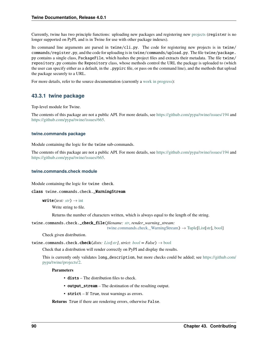Currently, twine has two principle functions: uploading new packages and registering new [projects](https://packaging.python.org/glossary/#term-Project) (register is no longer supported on PyPI, and is in Twine for use with other package indexes).

Its command line arguments are parsed in twine/cli.py. The code for registering new projects is in twine/ commands/register.py, and the code for uploading is in twine/commands/upload.py. The file twine/package. py contains a single class, PackageFile, which hashes the project files and extracts their metadata. The file twine/ repository.py contains the Repository class, whose methods control the URL the package is uploaded to (which the user can specify either as a default, in the .pypirc file, or pass on the command line), and the methods that upload the package securely to a URL.

For more details, refer to the source documentation (currently a [work in progress\)](https://github.com/pypa/twine/issues/635):

### **43.3.1 twine package**

Top-level module for Twine.

The contents of this package are not a public API. For more details, see <https://github.com/pypa/twine/issues/194> and [https://github.com/pypa/twine/issues/665.](https://github.com/pypa/twine/issues/665)

#### **twine.commands package**

Module containing the logic for the twine sub-commands.

The contents of this package are not a public API. For more details, see <https://github.com/pypa/twine/issues/194> and [https://github.com/pypa/twine/issues/665.](https://github.com/pypa/twine/issues/665)

#### **twine.commands.check module**

Module containing the logic for twine check.

#### <span id="page-95-0"></span>class twine.commands.check.\_WarningStream

 $write(text: str) \rightarrow int$  $write(text: str) \rightarrow int$  $write(text: str) \rightarrow int$  $write(text: str) \rightarrow int$ 

Write string to file.

Returns the number of characters written, which is always equal to the length of the string.

twine.commands.check.\_check\_file(*filename: [str](https://docs.python.org/3/library/stdtypes.html#str)*, *render\_warning\_stream:*

[twine.commands.check.\\_WarningStream](#page-95-0))  $\rightarrow$  [Tuple](https://docs.python.org/3/library/typing.html#typing.Tuple)[\[List\[](https://docs.python.org/3/library/typing.html#typing.List)[str\]](https://docs.python.org/3/library/stdtypes.html#str), [bool\]](https://docs.python.org/3/library/functions.html#bool)

Check given distribution.

```
twine.commands.check.check(List[str], bool = False) \rightarrow bool
```
Check that a distribution will render correctly on PyPI and display the results.

This is currently only validates long\_description, but more checks could be added; see [https://github.com/](https://github.com/pypa/twine/projects/2) [pypa/twine/projects/2.](https://github.com/pypa/twine/projects/2)

#### **Parameters**

- dists The distribution files to check.
- output\_stream The destination of the resulting output.
- **strict** If True, treat warnings as errors.

**Returns** True if there are rendering errors, otherwise False.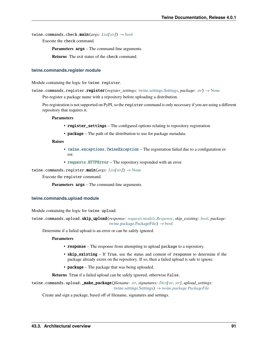twine.commands.check.main(*args: [List\[](https://docs.python.org/3/library/typing.html#typing.List)[str\]](https://docs.python.org/3/library/stdtypes.html#str)*) → [bool](https://docs.python.org/3/library/functions.html#bool)

Execute the check command.

**Parameters** args – The command-line arguments.

**Returns** The exit status of the check command.

#### **twine.commands.register module**

Module containing the logic for twine register.

twine.commands.register.register(*register\_settings:* [twine.settings.Settings,](#page-101-0) *package: [str](https://docs.python.org/3/library/stdtypes.html#str)*) → [None](https://docs.python.org/3/library/constants.html#None)

Pre-register a package name with a repository before uploading a distribution.

Pre-registration is not supported on PyPI, so the register command is only necessary if you are using a different repository that requires it.

**Parameters**

- register\_settings The configured options relating to repository registration.
- **package** The path of the distribution to use for package metadata.

**Raises**

- [twine.exceptions.TwineException](#page-98-0) The registration failed due to a configuration error.
- [requests.HTTPError](https://requests.readthedocs.io/en/latest/api/#requests.HTTPError) The repository responded with an error.

twine.commands.register.main(*args: [List\[](https://docs.python.org/3/library/typing.html#typing.List)[str\]](https://docs.python.org/3/library/stdtypes.html#str)*) → [None](https://docs.python.org/3/library/constants.html#None)

Execute the register command.

**Parameters** args – The command-line arguments.

#### **twine.commands.upload module**

Module containing the logic for twine upload.

twine.commands.upload.skip\_upload(*response: [requests.models.Response](https://requests.readthedocs.io/en/latest/api/#requests.Response)*, *skip\_existing: [bool](https://docs.python.org/3/library/functions.html#bool)*, *package:* [twine.package.PackageFile](#page-99-0)) → [bool](https://docs.python.org/3/library/functions.html#bool)

Determine if a failed upload is an error or can be safely ignored.

**Parameters**

- response The response from attempting to upload package to a repository.
- skip\_existing If True, use the status and content of response to determine if the package already exists on the repository. If so, then a failed upload is safe to ignore.
- **package** The package that was being uploaded.

**Returns** True if a failed upload can be safely ignored, otherwise False.

twine.commands.upload.\_make\_package(*filename: [str](https://docs.python.org/3/library/stdtypes.html#str)*, *signatures: [Dict](https://docs.python.org/3/library/typing.html#typing.Dict)[\[str,](https://docs.python.org/3/library/stdtypes.html#str) [str\]](https://docs.python.org/3/library/stdtypes.html#str)*, *upload\_settings:* [twine.settings.Settings](#page-101-0)) → *[twine.package.PackageFile](#page-99-0)*

Create and sign a package, based off of filename, signatures and settings.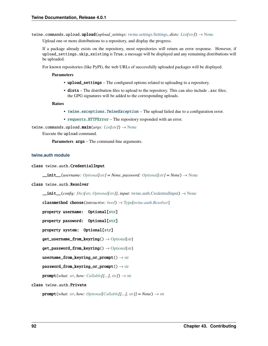twine.commands.upload.upload(*upload\_settings:* [twine.settings.Settings,](#page-101-0) *dists: [List](https://docs.python.org/3/library/typing.html#typing.List)[\[str\]](https://docs.python.org/3/library/stdtypes.html#str)*) → [None](https://docs.python.org/3/library/constants.html#None)

Upload one or more distributions to a repository, and display the progress.

If a package already exists on the repository, most repositories will return an error response. However, if upload\_settings.skip\_existing is True, a message will be displayed and any remaining distributions will be uploaded.

For known repositories (like PyPI), the web URLs of successfully uploaded packages will be displayed.

#### **Parameters**

- upload\_settings The configured options related to uploading to a repository.
- dists The distribution files to upload to the repository. This can also include . asc files; the GPG signatures will be added to the corresponding uploads.

**Raises**

- [twine.exceptions.TwineException](#page-98-0) The upload failed due to a configuration error.
- [requests.HTTPError](https://requests.readthedocs.io/en/latest/api/#requests.HTTPError) The repository responded with an error.

twine.commands.upload.main(*args: [List](https://docs.python.org/3/library/typing.html#typing.List)[\[str\]](https://docs.python.org/3/library/stdtypes.html#str)*) → [None](https://docs.python.org/3/library/constants.html#None)

Execute the upload command.

**Parameters** args – The command-line arguments.

#### **twine.auth module**

#### <span id="page-97-0"></span>class twine.auth.CredentialInput

\_\_init\_\_(*username: [Optional\[](https://docs.python.org/3/library/typing.html#typing.Optional)[str\]](https://docs.python.org/3/library/stdtypes.html#str) = None*, *password: [Optional\[](https://docs.python.org/3/library/typing.html#typing.Optional)[str\]](https://docs.python.org/3/library/stdtypes.html#str) = None*) → [None](https://docs.python.org/3/library/constants.html#None)

#### <span id="page-97-1"></span>class twine.auth.Resolver

\_\_init\_\_(*config: [Dict](https://docs.python.org/3/library/typing.html#typing.Dict)[\[str,](https://docs.python.org/3/library/stdtypes.html#str) [Optional\[](https://docs.python.org/3/library/typing.html#typing.Optional)[str\]](https://docs.python.org/3/library/stdtypes.html#str)]*, *input:* [twine.auth.CredentialInput](#page-97-0)) → [None](https://docs.python.org/3/library/constants.html#None)

classmethod choose(*interactive: [bool](https://docs.python.org/3/library/functions.html#bool)*) → [Type\[](https://docs.python.org/3/library/typing.html#typing.Type)*[twine.auth.Resolver](#page-97-1)*]

```
property username: Optional[str]
```
property password: Optional[\[str\]](https://docs.python.org/3/library/stdtypes.html#str)

property system: Optional[\[str\]](https://docs.python.org/3/library/stdtypes.html#str)

 $get\_username\_from\_keyring() \rightarrow \text{Optional[str]}$  $get\_username\_from\_keyring() \rightarrow \text{Optional[str]}$  $get\_username\_from\_keyring() \rightarrow \text{Optional[str]}$  $get\_username\_from\_keyring() \rightarrow \text{Optional[str]}$ 

 $get\_password\_from\_keyring() \rightarrow \text{Optional[str]}$  $get\_password\_from\_keyring() \rightarrow \text{Optional[str]}$  $get\_password\_from\_keyring() \rightarrow \text{Optional[str]}$  $get\_password\_from\_keyring() \rightarrow \text{Optional[str]}$ 

 $usename\_from\_keyring\_or\_prompt() \rightarrow str$  $usename\_from\_keyring\_or\_prompt() \rightarrow str$ 

 $password\_from\_keyring\_or\_prompt() \rightarrow str$  $password\_from\_keyring\_or\_prompt() \rightarrow str$ 

 $\text{prompt}(\text{what: str}, \text{how:} \text{Callable}[[...], \text{str}]) \rightarrow \text{str}$  $\text{prompt}(\text{what: str}, \text{how:} \text{Callable}[[...], \text{str}]) \rightarrow \text{str}$  $\text{prompt}(\text{what: str}, \text{how:} \text{Callable}[[...], \text{str}]) \rightarrow \text{str}$ 

#### class twine.auth.Private

**prompt**(*what: [str](https://docs.python.org/3/library/stdtypes.html#str), how: Optional*[*Callable*[[...], *str*]] = *None*)  $\rightarrow$  str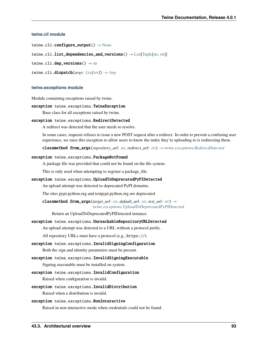#### **twine.cli module**

twine.cli.configure\_output()  $\rightarrow$  [None](https://docs.python.org/3/library/constants.html#None)

twine.cli.list\_dependencies\_and\_versions()  $\rightarrow$  [List](https://docs.python.org/3/library/typing.html#typing.List)[\[Tuple\[](https://docs.python.org/3/library/typing.html#typing.Tuple)[str,](https://docs.python.org/3/library/stdtypes.html#str) [str\]](https://docs.python.org/3/library/stdtypes.html#str)]

twine.cli.dep\_versions()  $\rightarrow$  [str](https://docs.python.org/3/library/stdtypes.html#str)

twine.cli.dispatch(*argv: [List](https://docs.python.org/3/library/typing.html#typing.List)[\[str\]](https://docs.python.org/3/library/stdtypes.html#str)*) → [Any](https://docs.python.org/3/library/typing.html#typing.Any)

#### **twine.exceptions module**

Module containing exceptions raised by twine.

#### <span id="page-98-0"></span>exception twine.exceptions.TwineException

Base class for all exceptions raised by twine.

#### <span id="page-98-1"></span>exception twine.exceptions.RedirectDetected

A redirect was detected that the user needs to resolve.

In some cases, requests refuses to issue a new POST request after a redirect. In order to prevent a confusing user experience, we raise this exception to allow users to know the index they're uploading to is redirecting them.

classmethod from\_args(*repository\_url: [str](https://docs.python.org/3/library/stdtypes.html#str)*, *redirect\_url: [str](https://docs.python.org/3/library/stdtypes.html#str)*) → *[twine.exceptions.RedirectDetected](#page-98-1)*

#### exception twine.exceptions.PackageNotFound

A package file was provided that could not be found on the file system.

This is only used when attempting to register a package\_file.

#### <span id="page-98-2"></span>exception twine.exceptions.UploadToDeprecatedPyPIDetected

An upload attempt was detected to deprecated PyPI domains.

The sites pypi.python.org and testpypi.python.org are deprecated.

classmethod from\_args(*target\_url: [str](https://docs.python.org/3/library/stdtypes.html#str)*, *default\_url: [str](https://docs.python.org/3/library/stdtypes.html#str)*, *test\_url: [str](https://docs.python.org/3/library/stdtypes.html#str)*) → *[twine.exceptions.UploadToDeprecatedPyPIDetected](#page-98-2)*

Return an UploadToDeprecatedPyPIDetected instance.

#### exception twine.exceptions.UnreachableRepositoryURLDetected

An upload attempt was detected to a URL without a protocol prefix.

All repository URLs must have a protocol (e.g., https://).

#### exception twine.exceptions.InvalidSigningConfiguration

Both the sign and identity parameters must be present.

#### exception twine.exceptions.InvalidSigningExecutable

Signing executable must be installed on system.

#### exception twine.exceptions.InvalidConfiguration

Raised when configuration is invalid.

#### exception twine.exceptions.InvalidDistribution

Raised when a distribution is invalid.

#### exception twine.exceptions.NonInteractive

Raised in non-interactive mode when credentials could not be found.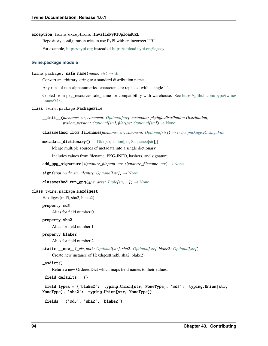#### exception twine.exceptions.InvalidPyPIUploadURL

Repository configuration tries to use PyPI with an incorrect URL.

For example, <https://pypi.org> instead of [https://upload.pypi.org/legacy.](https://upload.pypi.org/legacy)

#### **twine.package module**

#### twine.package.\_safe\_name(*name: [str](https://docs.python.org/3/library/stdtypes.html#str)*) → [str](https://docs.python.org/3/library/stdtypes.html#str)

Convert an arbitrary string to a standard distribution name.

Any runs of non-alphanumeric/. characters are replaced with a single '-'.

Copied from pkg\_resources.safe\_name for compatibility with warehouse. See [https://github.com/pypa/twine/](https://github.com/pypa/twine/issues/743) [issues/743.](https://github.com/pypa/twine/issues/743)

#### <span id="page-99-0"></span>class twine.package.PackageFile

\_\_init\_\_(*filename: [str](https://docs.python.org/3/library/stdtypes.html#str)*, *comment: [Optional](https://docs.python.org/3/library/typing.html#typing.Optional)[\[str\]](https://docs.python.org/3/library/stdtypes.html#str)*, *metadata: pkginfo.distribution.Distribution*, *python\_version: [Optional\[](https://docs.python.org/3/library/typing.html#typing.Optional)[str\]](https://docs.python.org/3/library/stdtypes.html#str), filetype: [Optional](https://docs.python.org/3/library/typing.html#typing.Optional)[\[str\]](https://docs.python.org/3/library/stdtypes.html#str)*)  $\rightarrow$  [None](https://docs.python.org/3/library/constants.html#None)

classmethod from\_filename( $filename: str, comment: Optional[str]) \rightarrow twice.package.PackageFile$  $filename: str, comment: Optional[str]) \rightarrow twice.package.PackageFile$  $filename: str, comment: Optional[str]) \rightarrow twice.package.PackageFile$  $filename: str, comment: Optional[str]) \rightarrow twice.package.PackageFile$  $filename: str, comment: Optional[str]) \rightarrow twice.package.PackageFile$  $filename: str, comment: Optional[str]) \rightarrow twice.package.PackageFile$ 

#### $\text{metadata\_dictionary}() \rightarrow \text{Dict}[\text{str}, \text{Union}[\text{str}, \text{Sequence}[\text{str}]]]$  $\text{metadata\_dictionary}() \rightarrow \text{Dict}[\text{str}, \text{Union}[\text{str}, \text{Sequence}[\text{str}]]]$  $\text{metadata\_dictionary}() \rightarrow \text{Dict}[\text{str}, \text{Union}[\text{str}, \text{Sequence}[\text{str}]]]$

Merge multiple sources of metadata into a single dictionary.

Includes values from filename, PKG-INFO, hashers, and signature.

 $add\_gpg\_signature(signature\_filepath: str, signature\_filename: str) \rightarrow None$  $add\_gpg\_signature(signature\_filepath: str, signature\_filename: str) \rightarrow None$  $add\_gpg\_signature(signature\_filepath: str, signature\_filename: str) \rightarrow None$  $add\_gpg\_signature(signature\_filepath: str, signature\_filename: str) \rightarrow None$ 

 $sign(sign\_with: str, identity: Optional[str]) \rightarrow None$  $sign(sign\_with: str, identity: Optional[str]) \rightarrow None$  $sign(sign\_with: str, identity: Optional[str]) \rightarrow None$  $sign(sign\_with: str, identity: Optional[str]) \rightarrow None$  $sign(sign\_with: str, identity: Optional[str]) \rightarrow None$  $sign(sign\_with: str, identity: Optional[str]) \rightarrow None$  $sign(sign\_with: str, identity: Optional[str]) \rightarrow None$ 

classmethod run\_gpg( $gpg\_args: \mathit{Tuple}[str, ...]$  $gpg\_args: \mathit{Tuple}[str, ...]$  $gpg\_args: \mathit{Tuple}[str, ...]$  $gpg\_args: \mathit{Tuple}[str, ...]$  $gpg\_args: \mathit{Tuple}[str, ...]$ )  $\rightarrow$  [None](https://docs.python.org/3/library/constants.html#None)

#### <span id="page-99-1"></span>class twine.package.Hexdigest

Hexdigest(md5, sha2, blake2)

#### property md5

Alias for field number 0

#### property sha2

Alias for field number 1

#### property blake2

Alias for field number 2

static \_\_new\_\_(*\_cls*, *md5: [Optional](https://docs.python.org/3/library/typing.html#typing.Optional)[\[str\]](https://docs.python.org/3/library/stdtypes.html#str)*, *sha2: [Optional](https://docs.python.org/3/library/typing.html#typing.Optional)[\[str\]](https://docs.python.org/3/library/stdtypes.html#str)*, *blake2: [Optional\[](https://docs.python.org/3/library/typing.html#typing.Optional)[str\]](https://docs.python.org/3/library/stdtypes.html#str)*)

Create new instance of Hexdigest(md5, sha2, blake2)

#### $asdict()$

Return a new OrderedDict which maps field names to their values.

 $_fields = {}$ 

```
_field_types = {'blake2': typing.Union[str, NoneType], 'md5': typing.Union[str,
NoneType], 'sha2': typing.Union[str, NoneType]}
```

```
_fields = ('md5', 'sha2', 'blake2')
```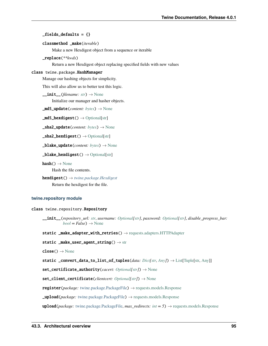#### $_$  fields defaults = {}

#### classmethod \_make(*iterable*)

Make a new Hexdigest object from a sequence or iterable

\_replace(*\*\*kwds*)

Return a new Hexdigest object replacing specified fields with new values

#### class twine.package.HashManager

Manage our hashing objects for simplicity.

This will also allow us to better test this logic.

 $\text{unit}$  (*filename: [str](https://docs.python.org/3/library/stdtypes.html#str)*)  $\rightarrow$  [None](https://docs.python.org/3/library/constants.html#None)

Initialize our manager and hasher objects.

 $\_md5\_update(content: bytes) \rightarrow None$  $\_md5\_update(content: bytes) \rightarrow None$  $\_md5\_update(content: bytes) \rightarrow None$  $\_md5\_update(content: bytes) \rightarrow None$ 

 $\_md5\_hexdigest() \rightarrow \text{Optional[str]}$  $\_md5\_hexdigest() \rightarrow \text{Optional[str]}$  $\_md5\_hexdigest() \rightarrow \text{Optional[str]}$  $\_md5\_hexdigest() \rightarrow \text{Optional[str]}$ 

\_sha2\_update(*content: [bytes](https://docs.python.org/3/library/stdtypes.html#bytes)*) → [None](https://docs.python.org/3/library/constants.html#None)

 $\_sha2\_hexdigest() \rightarrow \text{Optional[str]}$  $\_sha2\_hexdigest() \rightarrow \text{Optional[str]}$  $\_sha2\_hexdigest() \rightarrow \text{Optional[str]}$  $\_sha2\_hexdigest() \rightarrow \text{Optional[str]}$ 

```
\text{\textbf{black}} _blake_update(bytes) \rightarrowNone
```
#### $\_black$ \_blake\_hexdigest()  $\rightarrow$  [Optional](https://docs.python.org/3/library/typing.html#typing.Optional)[\[str\]](https://docs.python.org/3/library/stdtypes.html#str)

 $hash() \rightarrow None$  $hash() \rightarrow None$ 

Hash the file contents.

hexdigest() → *[twine.package.Hexdigest](#page-99-1)* Return the hexdigest for the file.

#### **twine.repository module**

#### <span id="page-100-0"></span>class twine.repository.Repository

\_\_init\_\_(*repository\_url: [str](https://docs.python.org/3/library/stdtypes.html#str)*, *username: [Optional](https://docs.python.org/3/library/typing.html#typing.Optional)[\[str\]](https://docs.python.org/3/library/stdtypes.html#str)*, *password: [Optional\[](https://docs.python.org/3/library/typing.html#typing.Optional)[str\]](https://docs.python.org/3/library/stdtypes.html#str)*, *disable\_progress\_bar:*  $bool = False$  $bool = False$ )  $\rightarrow$  [None](https://docs.python.org/3/library/constants.html#None)

static \_make\_adapter\_with\_retries() → [requests.adapters.HTTPAdapter](https://requests.readthedocs.io/en/latest/api/#requests.adapters.HTTPAdapter)

```
static string}() \rightarrow \text{str}
```
 $close() \rightarrow None$  $close() \rightarrow None$ 

static \_convert\_data\_to\_list\_of\_tuples(*data: [Dict](https://docs.python.org/3/library/typing.html#typing.Dict)[\[str,](https://docs.python.org/3/library/stdtypes.html#str) [Any\]](https://docs.python.org/3/library/typing.html#typing.Any)*) → [List\[](https://docs.python.org/3/library/typing.html#typing.List)[Tuple](https://docs.python.org/3/library/typing.html#typing.Tuple)[\[str,](https://docs.python.org/3/library/stdtypes.html#str) [Any\]](https://docs.python.org/3/library/typing.html#typing.Any)]

set\_certificate\_authority(*cacert: [Optional\[](https://docs.python.org/3/library/typing.html#typing.Optional)[str\]](https://docs.python.org/3/library/stdtypes.html#str)*) → [None](https://docs.python.org/3/library/constants.html#None)

set\_client\_certificate(*clientcert: [Optional\[](https://docs.python.org/3/library/typing.html#typing.Optional)[str\]](https://docs.python.org/3/library/stdtypes.html#str)*) → [None](https://docs.python.org/3/library/constants.html#None)

register(*package:* [twine.package.PackageFile](#page-99-0)) → [requests.models.Response](https://requests.readthedocs.io/en/latest/api/#requests.Response)

\_upload(*package:* [twine.package.PackageFile](#page-99-0)) → [requests.models.Response](https://requests.readthedocs.io/en/latest/api/#requests.Response)

upload(*package:* [twine.package.PackageFile,](#page-99-0) *max\_redirects: [int](https://docs.python.org/3/library/functions.html#int) = 5*) → [requests.models.Response](https://requests.readthedocs.io/en/latest/api/#requests.Response)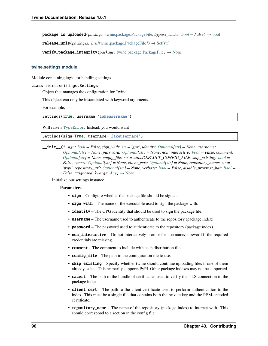package\_is\_uploaded(*package:* [twine.package.PackageFile,](#page-99-0) *bypass\_cache: [bool](https://docs.python.org/3/library/functions.html#bool) = False*) → [bool](https://docs.python.org/3/library/functions.html#bool)

release\_urls(*packages: [List\[](https://docs.python.org/3/library/typing.html#typing.List)*[twine.package.PackageFile](#page-99-0)*]*) → [Set](https://docs.python.org/3/library/typing.html#typing.Set)[\[str\]](https://docs.python.org/3/library/stdtypes.html#str)

verify\_package\_integrity(*package:* [twine.package.PackageFile](#page-99-0)) → [None](https://docs.python.org/3/library/constants.html#None)

#### **twine.settings module**

<span id="page-101-0"></span>Module containing logic for handling settings.

#### class twine.settings.Settings

Object that manages the configuration for Twine.

This object can only be instantiated with keyword arguments.

For example,

Settings(True, username='fakeusername')

Will raise a [TypeError](https://docs.python.org/3/library/exceptions.html#TypeError). Instead, you would want

Settings(sign=True, username='fakeusername')

\_\_init\_\_(*\**, *sign: [bool](https://docs.python.org/3/library/functions.html#bool) = False*, *sign\_with: [str](https://docs.python.org/3/library/stdtypes.html#str) = 'gpg'*, *identity: [Optional\[](https://docs.python.org/3/library/typing.html#typing.Optional)[str\]](https://docs.python.org/3/library/stdtypes.html#str) = None*, *username: [Optional](https://docs.python.org/3/library/typing.html#typing.Optional)[\[str\]](https://docs.python.org/3/library/stdtypes.html#str) = None*, *password: [Optional](https://docs.python.org/3/library/typing.html#typing.Optional)[\[str\]](https://docs.python.org/3/library/stdtypes.html#str) = None*, *non\_interactive: [bool](https://docs.python.org/3/library/functions.html#bool) = False*, *comment: [Optional](https://docs.python.org/3/library/typing.html#typing.Optional)[\[str\]](https://docs.python.org/3/library/stdtypes.html#str) = None*, *config\_file: [str](https://docs.python.org/3/library/stdtypes.html#str) = utils.DEFAULT\_CONFIG\_FILE*, *skip\_existing: [bool](https://docs.python.org/3/library/functions.html#bool) = False*, *cacert: [Optional\[](https://docs.python.org/3/library/typing.html#typing.Optional)[str\]](https://docs.python.org/3/library/stdtypes.html#str) = None*, *client\_cert: [Optional\[](https://docs.python.org/3/library/typing.html#typing.Optional)[str\]](https://docs.python.org/3/library/stdtypes.html#str) = None*, *repository\_name: [str](https://docs.python.org/3/library/stdtypes.html#str) = 'pypi'*, *repository\_url: [Optional\[](https://docs.python.org/3/library/typing.html#typing.Optional)[str\]](https://docs.python.org/3/library/stdtypes.html#str) = None*, *verbose: [bool](https://docs.python.org/3/library/functions.html#bool) = False*, *disable\_progress\_bar: [bool](https://docs.python.org/3/library/functions.html#bool) = False*, \*\**ignored\_kwargs: [Any](https://docs.python.org/3/library/typing.html#typing.Any)*)  $\rightarrow$  [None](https://docs.python.org/3/library/constants.html#None)

Initialize our settings instance.

#### **Parameters**

- sign Configure whether the package file should be signed.
- sign\_with The name of the executable used to sign the package with.
- identity The GPG identity that should be used to sign the package file.
- **username** The username used to authenticate to the repository (package index).
- **password** The password used to authenticate to the repository (package index).
- non\_interactive Do not interactively prompt for username/password if the required credentials are missing.
- comment The comment to include with each distribution file.
- **config\_file** The path to the configuration file to use.
- skip\_existing Specify whether twine should continue uploading files if one of them already exists. This primarily supports PyPI. Other package indexes may not be supported.
- cacert The path to the bundle of certificates used to verify the TLS connection to the package index.
- **client\_cert** The path to the client certificate used to perform authentication to the index. This must be a single file that contains both the private key and the PEM-encoded certificate.
- repository\_name The name of the repository (package index) to interact with. This should correspond to a section in the config file.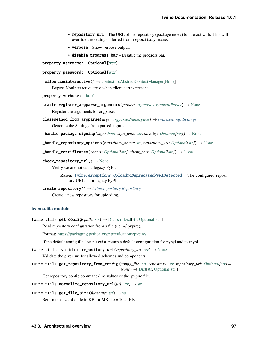- repository\_url The URL of the repository (package index) to interact with. This will override the settings inferred from repository\_name.
- **verbose** Show verbose output.
- disable\_progress\_bar Disable the progress bar.

property username: Optional[\[str\]](https://docs.python.org/3/library/stdtypes.html#str)

```
property password: Optional[str]
```
 $\text{\textcolor{red}{\textbf{\textcolor{blue}{-}and}}}$  noninteractive()  $\rightarrow$  [contextlib.AbstractContextManager](https://docs.python.org/3/library/contextlib.html#contextlib.AbstractContextManager)[\[None\]](https://docs.python.org/3/library/constants.html#None)

Bypass NonInteractive error when client cert is present.

property verbose: [bool](https://docs.python.org/3/library/functions.html#bool)

- static register\_argparse\_arguments(*parser: [argparse.ArgumentParser](https://docs.python.org/3/library/argparse.html#argparse.ArgumentParser)*) → [None](https://docs.python.org/3/library/constants.html#None) Register the arguments for argparse.
- classmethod from\_argparse(*args: [argparse.Namespace](https://docs.python.org/3/library/argparse.html#argparse.Namespace)*) → *[twine.settings.Settings](#page-101-0)* Generate the Settings from parsed arguments.

\_handle\_package\_signing(*sign: [bool](https://docs.python.org/3/library/functions.html#bool)*, *sign\_with: [str](https://docs.python.org/3/library/stdtypes.html#str)*, *identity: [Optional](https://docs.python.org/3/library/typing.html#typing.Optional)[\[str\]](https://docs.python.org/3/library/stdtypes.html#str)*) → [None](https://docs.python.org/3/library/constants.html#None)

\_handle\_repository\_options(*repository\_name: [str](https://docs.python.org/3/library/stdtypes.html#str)*, *repository\_url: [Optional\[](https://docs.python.org/3/library/typing.html#typing.Optional)[str\]](https://docs.python.org/3/library/stdtypes.html#str)*) → [None](https://docs.python.org/3/library/constants.html#None)

 $\text{Landle}_\text{c}$ **certificates**(*cacert: [Optional](https://docs.python.org/3/library/typing.html#typing.Optional)*[*[str\]](https://docs.python.org/3/library/stdtypes.html#str)*, *client cert: Optional*[*str]*)  $\rightarrow$  [None](https://docs.python.org/3/library/constants.html#None)

#### check\_repository\_url() → [None](https://docs.python.org/3/library/constants.html#None)

Verify we are not using legacy PyPI.

**Raises** [twine.exceptions.UploadToDeprecatedPyPIDetected](#page-98-2) - The configured repository URL is for legacy PyPI.

#### create\_repository() → *[twine.repository.Repository](#page-100-0)* Create a new repository for uploading.

#### **twine.utils module**

```
twine.utils.get_config(str) \rightarrowDict[str,Optional[str]]]
```
Read repository configuration from a file (i.e.  $\sim$ /.pypirc).

Format: <https://packaging.python.org/specifications/pypirc/>

If the default config file doesn't exist, return a default configuration for pypyi and testpypi.

twine.utils.\_validate\_repository\_url(*repository\_url: [str](https://docs.python.org/3/library/stdtypes.html#str)*) → [None](https://docs.python.org/3/library/constants.html#None)

Validate the given url for allowed schemes and components.

```
twine.utils.get_repository_from_config(config_file: str, repository: str, repository_url: Optional[str] =
                                                  None) \rightarrowDict[str,Optional[str]]
```
Get repository config command-line values or the .pypirc file.

```
twine.utils.normalize_repository_url(url: str) → str
```
twine.utils.get\_file\_size(*filename: [str](https://docs.python.org/3/library/stdtypes.html#str)*) → [str](https://docs.python.org/3/library/stdtypes.html#str)

Return the size of a file in KB, or MB if >= 1024 KB.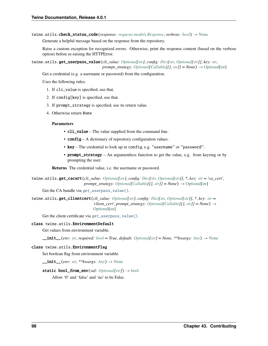twine.utils.check\_status\_code(*response: [requests.models.Response](https://requests.readthedocs.io/en/latest/api/#requests.Response)*, *verbose: [bool](https://docs.python.org/3/library/functions.html#bool)*) → [None](https://docs.python.org/3/library/constants.html#None)

Generate a helpful message based on the response from the repository.

Raise a custom exception for recognized errors. Otherwise, print the response content (based on the verbose option) before re-raising the HTTPError.

<span id="page-103-0"></span>twine.utils.get\_userpass\_value(*cli\_value: [Optional](https://docs.python.org/3/library/typing.html#typing.Optional)[\[str\]](https://docs.python.org/3/library/stdtypes.html#str)*, *config: [Dict](https://docs.python.org/3/library/typing.html#typing.Dict)[\[str,](https://docs.python.org/3/library/stdtypes.html#str) [Optional](https://docs.python.org/3/library/typing.html#typing.Optional)[\[str\]](https://docs.python.org/3/library/stdtypes.html#str)]*, *key: [str](https://docs.python.org/3/library/stdtypes.html#str)*, *prompt\_strategy: [Optional\[](https://docs.python.org/3/library/typing.html#typing.Optional)[Callable\[](https://docs.python.org/3/library/typing.html#typing.Callable)[], [str\]](https://docs.python.org/3/library/stdtypes.html#str)]* =  $None$ )  $\rightarrow$  [Optional](https://docs.python.org/3/library/typing.html#typing.Optional)[\[str\]](https://docs.python.org/3/library/stdtypes.html#str)

Get a credential (e.g. a username or password) from the configuration.

Uses the following rules:

- 1. If cli\_value is specified, use that.
- 2. If config[key] is specified, use that.
- 3. If prompt\_strategy is specified, use its return value.
- 4. Otherwise return None

#### **Parameters**

- cli\_value The value supplied from the command line.
- **config** A dictionary of repository configuration values.
- key The credential to look up in config, e.g. "username" or "password".
- prompt\_strategy An argumentless function to get the value, e.g. from keyring or by prompting the user.

**Returns** The credential value, i.e. the username or password.

```
twine.utils.get_cacert(cli_value: Optional[str], config: Dict[str, Optional[str]], *, key: str = 'ca_cert',
                           Optional[Callable[str]] = None) \rightarrow Optional[str]
```
Get the CA bundle via [get\\_userpass\\_value\(\)](#page-103-0).

```
twine.utils.get_clientcert(cli_value: Optional[str], config: Dict[str, Optional[str]], *, key: str =
                                  'client_cert', prompt_strategy: Optional[Callable[[], str]] = None) →
                                  Optional[str]
```
Get the client certificate via [get\\_userpass\\_value\(\)](#page-103-0).

#### class twine.utils.EnvironmentDefault

Get values from environment variable.

 $\_init\_(env: str, required: bool = True, default: Optional[str] = None, **kwargs: Any) \rightarrow None$  $\_init\_(env: str, required: bool = True, default: Optional[str] = None, **kwargs: Any) \rightarrow None$  $\_init\_(env: str, required: bool = True, default: Optional[str] = None, **kwargs: Any) \rightarrow None$  $\_init\_(env: str, required: bool = True, default: Optional[str] = None, **kwargs: Any) \rightarrow None$  $\_init\_(env: str, required: bool = True, default: Optional[str] = None, **kwargs: Any) \rightarrow None$  $\_init\_(env: str, required: bool = True, default: Optional[str] = None, **kwargs: Any) \rightarrow None$  $\_init\_(env: str, required: bool = True, default: Optional[str] = None, **kwargs: Any) \rightarrow None$  $\_init\_(env: str, required: bool = True, default: Optional[str] = None, **kwargs: Any) \rightarrow None$  $\_init\_(env: str, required: bool = True, default: Optional[str] = None, **kwargs: Any) \rightarrow None$  $\_init\_(env: str, required: bool = True, default: Optional[str] = None, **kwargs: Any) \rightarrow None$  $\_init\_(env: str, required: bool = True, default: Optional[str] = None, **kwargs: Any) \rightarrow None$ 

#### class twine.utils.EnvironmentFlag

Set boolean flag from environment variable.

 $\text{unit}$  (*env: [str](https://docs.python.org/3/library/stdtypes.html#str)*, \*\**kwargs: [Any](https://docs.python.org/3/library/typing.html#typing.Any)*)  $\rightarrow$  [None](https://docs.python.org/3/library/constants.html#None)

#### static [bool](https://docs.python.org/3/library/functions.html#bool)\_from\_env(*val: [Optional](https://docs.python.org/3/library/typing.html#typing.Optional)* $[str]$ )  $\rightarrow$  bool

Allow '0' and 'false' and 'no' to be False.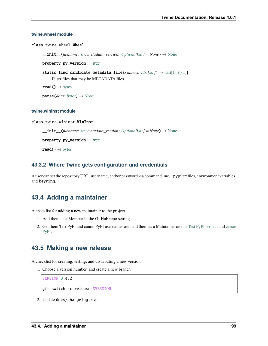#### **twine.wheel module**

class twine.wheel.Wheel

 $\text{unit}$ *(filename: [str](https://docs.python.org/3/library/stdtypes.html#str), metadata\_version: [Optional](https://docs.python.org/3/library/typing.html#typing.Optional)[\[str\]](https://docs.python.org/3/library/stdtypes.html#str)* = *[None](https://docs.python.org/3/library/constants.html#None)*)  $\rightarrow$  None

property py\_version: [str](https://docs.python.org/3/library/stdtypes.html#str)

static find\_candidate\_metadata\_files(*names: [List](https://docs.python.org/3/library/typing.html#typing.List)[\[str\]](https://docs.python.org/3/library/stdtypes.html#str)*) → [List\[List](https://docs.python.org/3/library/typing.html#typing.List)[\[str\]](https://docs.python.org/3/library/stdtypes.html#str)] Filter files that may be METADATA files.

 $read() \rightarrow bytes$  $read() \rightarrow bytes$ 

 $parse(data: bytes) \rightarrow None$  $parse(data: bytes) \rightarrow None$  $parse(data: bytes) \rightarrow None$  $parse(data: bytes) \rightarrow None$ 

#### **twine.wininst module**

#### class twine.wininst.WinInst

 $_i$ **init**<sub>*\_</sub>*(*filename: [str](https://docs.python.org/3/library/stdtypes.html#str), metadata\_version: [Optional](https://docs.python.org/3/library/typing.html#typing.Optional)*[*str]* = *[None](https://docs.python.org/3/library/constants.html#None)*)  $\rightarrow$  None</sub>

property py\_version: [str](https://docs.python.org/3/library/stdtypes.html#str)

 $\text{read}() \rightarrow \text{bytes}$  $\text{read}() \rightarrow \text{bytes}$  $\text{read}() \rightarrow \text{bytes}$ 

### **43.3.2 Where Twine gets configuration and credentials**

A user can set the repository URL, username, and/or password via command line, .pypirc files, environment variables, and keyring.

### **43.4 Adding a maintainer**

A checklist for adding a new maintainer to the project.

- 1. Add them as a Member in the GitHub repo settings.
- 2. Get them Test PyPI and canon PyPI usernames and add them as a Maintainer on [our Test PyPI project](https://test.pypi.org/manage/project/twine/collaboration/) and [canon](https://pypi.org/manage/project/twine/collaboration/) [PyPI.](https://pypi.org/manage/project/twine/collaboration/)

### **43.5 Making a new release**

A checklist for creating, testing, and distributing a new version.

1. Choose a version number, and create a new branch

```
VERSION=3.4.2
git switch -c release-$VERSION
```
2. Update docs/changelog.rst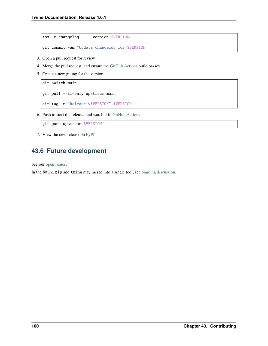```
tox -e changelog -- --version $VERSION
git commit -am "Update changelog for $VERSION"
```
- 3. Open a pull request for review
- 4. Merge the pull request, and ensure the [GitHub Actions](https://github.com/pypa/twine/actions) build passes
- 5. Create a new git tag for the version

```
git switch main
git pull --ff-only upstream main
git tag -m "Release v$VERSION" $VERSION
```
6. Push to start the release, and watch it in [GitHub Actions](https://github.com/pypa/twine/actions)

git push upstream \$VERSION

7. View the new release on [PyPI](https://pypi.org/project/twine/)

### **43.6 Future development**

See our [open issues.](https://github.com/pypa/twine/issues)

In the future, pip and twine may merge into a single tool; see [ongoing discussion.](https://github.com/pypa/packaging-problems/issues/60)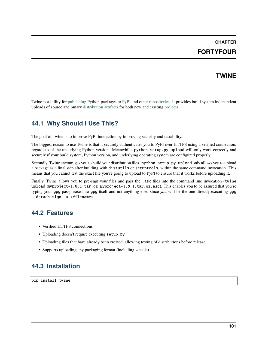# **CHAPTER FORTYFOUR**

### **TWINE**

Twine is a utility for [publishing](https://packaging.python.org/tutorials/packaging-projects/) Python packages to [PyPI](https://pypi.org) and other [repositories.](https://packaging.python.org/glossary/#term-Package-Index) It provides build system independent uploads of source and binary [distribution artifacts](https://packaging.python.org/glossary/#term-Distribution-Package) for both new and existing [projects.](https://packaging.python.org/glossary/#term-Project)

### **44.1 Why Should I Use This?**

The goal of Twine is to improve PyPI interaction by improving security and testability.

The biggest reason to use Twine is that it securely authenticates you to PyPI over HTTPS using a verified connection, regardless of the underlying Python version. Meanwhile, python setup.py upload will only work correctly and securely if your build system, Python version, and underlying operating system are configured properly.

Secondly, Twine encourages you to build your distribution files. python setup.py upload only allows you to upload a package as a final step after building with distutils or setuptools, within the same command invocation. This means that you cannot test the exact file you're going to upload to PyPI to ensure that it works before uploading it.

Finally, Twine allows you to pre-sign your files and pass the .asc files into the command line invocation (twine upload myproject-1.0.1.tar.gz myproject-1.0.1.tar.gz.asc). This enables you to be assured that you're typing your gpg passphrase into gpg itself and not anything else, since *you* will be the one directly executing gpg --detach-sign -a <filename>.

### **44.2 Features**

- Verified HTTPS connections
- Uploading doesn't require executing setup.py
- Uploading files that have already been created, allowing testing of distributions before release
- Supports uploading any packaging format (including [wheels\)](https://packaging.python.org/glossary/#term-Wheel)

## **44.3 Installation**

pip install twine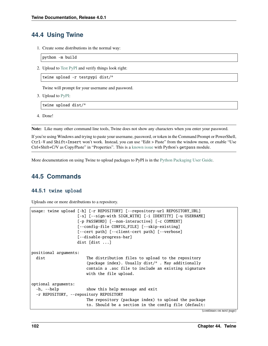### **44.4 Using Twine**

1. Create some distributions in the normal way:

python -m build

2. Upload to [Test PyPI](https://packaging.python.org/guides/using-testpypi/) and verify things look right:

twine upload -r testpypi dist/\*

Twine will prompt for your username and password.

3. Upload to [PyPI:](https://pypi.org)

twine upload dist/\*

4. Done!

**Note:** Like many other command line tools, Twine does not show any characters when you enter your password.

If you're using Windows and trying to paste your username, password, or token in the Command Prompt or PowerShell, Ctrl-V and Shift+Insert won't work. Instead, you can use "Edit > Paste" from the window menu, or enable "Use Ctrl+Shift+C/V as Copy/Paste" in "Properties". This is a [known issue](https://bugs.python.org/issue37426) with Python's getpass module.

More documentation on using Twine to upload packages to PyPI is in the [Python Packaging User Guide.](https://packaging.python.org/tutorials/packaging-projects/)

## **44.5 Commands**

### **44.5.1** twine upload

Uploads one or more distributions to a repository.

```
usage: twine upload [-h] [-r REPOSITORY] [--repository-url REPOSITORY_URL]
                   [-s] [--sign-with SIGN_WITH] [-i IDENTITY] [-u USERNAME]
                   [-p PASSWORD] [--non-interactive] [-c COMMENT]
                   [--config-file CONFIG_FILE] [--skip-existing]
                   [--cert path] [--client-cert path] [--verbose]
                   [--disable-progress-bar]
                   dist [dist ...]
positional arguments:
 dist The distribution files to upload to the repository
                       (package index). Usually dist/* . May additionally
                       contain a .asc file to include an existing signature
                       with the file upload.
optional arguments:
  -h, --help show this help message and exit
  -r REPOSITORY, --repository REPOSITORY
                       The repository (package index) to upload the package
                       to. Should be a section in the config file (default:
```
(continues on next page)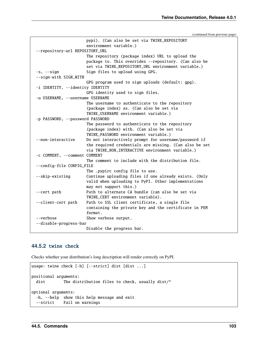(continued from previous page)

```
pypi). (Can also be set via TWINE_REPOSITORY
                     environment variable.)
--repository-url REPOSITORY_URL
                     The repository (package index) URL to upload the
                     package to. This overrides --repository. (Can also be
                     set via TWINE_REPOSITORY_URL environment variable.)
-s, --sign Sign files to upload using GPG.
--sign-with SIGN_WITH
                     GPG program used to sign uploads (default: gpg).
-i IDENTITY, --identity IDENTITY
                     GPG identity used to sign files.
-u USERNAME, --username USERNAME
                     The username to authenticate to the repository
                     (package index) as. (Can also be set via
                     TWINE_USERNAME environment variable.)
-p PASSWORD, --password PASSWORD
                     The password to authenticate to the repository
                     (package index) with. (Can also be set via
                     TWINE_PASSWORD environment variable.)
--non-interactive Do not interactively prompt for username/password if
                     the required credentials are missing. (Can also be set
                     via TWINE_NON_INTERACTIVE environment variable.)
-c COMMENT, --comment COMMENT
                     The comment to include with the distribution file.
--config-file CONFIG_FILE
                     The .pypirc config file to use.
--skip-existing Continue uploading files if one already exists. (Only
                     valid when uploading to PyPI. Other implementations
                     may not support this.)
--cert path Path to alternate CA bundle (can also be set via
                     TWINE_CERT environment variable).
--client-cert path Path to SSL client certificate, a single file
                     containing the private key and the certificate in PEM
                     format.
--verbose Show verbose output.
--disable-progress-bar
                     Disable the progress bar.
```
#### **44.5.2** twine check

Checks whether your distribution's long description will render correctly on PyPI.

```
usage: twine check [-h] [--strict] dist [dist ...]
positional arguments:
 dist The distribution files to check, usually dist/*
optional arguments:
 -h, --help show this help message and exit
 --strict Fail on warnings
```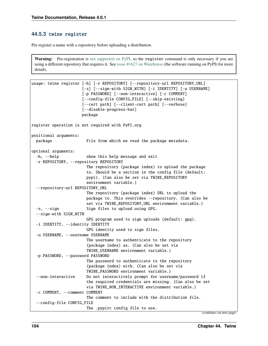#### **44.5.3** twine register

Pre-register a name with a repository before uploading a distribution.

**Warning:** Pre-registration is [not supported on PyPI,](https://packaging.python.org/guides/migrating-to-pypi-org/#registering-package-names-metadata) so the register command is only necessary if you are using a different repository that requires it. See [issue #1627 on Warehouse](https://github.com/pypa/warehouse/issues/1627) (the software running on PyPI) for more details.

```
usage: twine register [-h] [-r REPOSITORY] [--repository-url REPOSITORY_URL]
                      [-s] [--sign-with SIGN_WITH] [-i IDENTITY] [-u USERNAME]
                      [-p PASSWORD] [--non-interactive] [-c COMMENT]
                      [--config-file CONFIG_FILE] [--skip-existing]
                      [--cert path] [--client-cert path] [--verbose]
                      [--disable-progress-bar]
                     package
register operation is not required with PyPI.org
positional arguments:
 package File from which we read the package metadata.
optional arguments:
  -h, --help show this help message and exit
  -r REPOSITORY, --repository REPOSITORY
                       The repository (package index) to upload the package
                        to. Should be a section in the config file (default:
                       pypi). (Can also be set via TWINE_REPOSITORY
                        environment variable.)
  --repository-url REPOSITORY_URL
                       The repository (package index) URL to upload the
                       package to. This overrides --repository. (Can also be
                        set via TWINE_REPOSITORY_URL environment variable.)
  -s, --sign Sign files to upload using GPG.
  --sign-with SIGN_WITH
                        GPG program used to sign uploads (default: gpg).
  -i IDENTITY, --identity IDENTITY
                       GPG identity used to sign files.
  -u USERNAME, --username USERNAME
                       The username to authenticate to the repository
                        (package index) as. (Can also be set via
                       TWINE_USERNAME environment variable.)
  -p PASSWORD, --password PASSWORD
                       The password to authenticate to the repository
                        (package index) with. (Can also be set via
                        TWINE_PASSWORD environment variable.)
  --non-interactive Do not interactively prompt for username/password if
                        the required credentials are missing. (Can also be set
                       via TWINE_NON_INTERACTIVE environment variable.)
  -c COMMENT, --comment COMMENT
                        The comment to include with the distribution file.
  --config-file CONFIG_FILE
                       The .pypirc config file to use.
```
(continues on next page)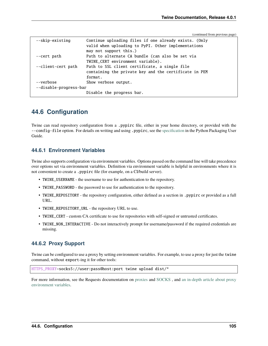(continued from previous page)

| --skip-existing        | Continue uploading files if one already exists. (Only<br>valid when uploading to PyPI. Other implementations<br>may not support this.) |
|------------------------|----------------------------------------------------------------------------------------------------------------------------------------|
| --cert path            | Path to alternate CA bundle (can also be set via                                                                                       |
|                        | TWINE CERT environment variable).                                                                                                      |
| --client-cert path     | Path to SSL client certificate, a single file                                                                                          |
|                        | containing the private key and the certificate in PEM                                                                                  |
|                        | format.                                                                                                                                |
| --verbose              | Show verbose output.                                                                                                                   |
| --disable-progress-bar |                                                                                                                                        |
|                        | Disable the progress bar.                                                                                                              |
|                        |                                                                                                                                        |

### **44.6 Configuration**

Twine can read repository configuration from a .pypirc file, either in your home directory, or provided with the --config-file option. For details on writing and using .pypirc, see the [specification](https://packaging.python.org/specifications/pypirc/) in the Python Packaging User Guide.

#### **44.6.1 Environment Variables**

Twine also supports configuration via environment variables. Options passed on the command line will take precedence over options set via environment variables. Definition via environment variable is helpful in environments where it is not convenient to create a .pypirc file (for example, on a CI/build server).

- TWINE\_USERNAME the username to use for authentication to the repository.
- TWINE\_PASSWORD the password to use for authentication to the repository.
- TWINE\_REPOSITORY the repository configuration, either defined as a section in .pypirc or provided as a full URL.
- TWINE\_REPOSITORY\_URL the repository URL to use.
- TWINE\_CERT custom CA certificate to use for repositories with self-signed or untrusted certificates.
- TWINE\_NON\_INTERACTIVE Do not interactively prompt for username/password if the required credentials are missing.

#### **44.6.2 Proxy Support**

Twine can be configured to use a proxy by setting environment variables. For example, to use a proxy for just the twine command, without export-ing it for other tools:

HTTPS\_PROXY=socks5://user:pass@host:port twine upload dist/\*

For more information, see the Requests documentation on [proxies](https://requests.readthedocs.io/en/latest/user/advanced/#proxies) and [SOCKS](https://requests.readthedocs.io/en/latest/user/advanced/#socks) , and [an in-depth article about proxy](https://about.gitlab.com/blog/2021/01/27/we-need-to-talk-no-proxy/) [environment variables.](https://about.gitlab.com/blog/2021/01/27/we-need-to-talk-no-proxy/)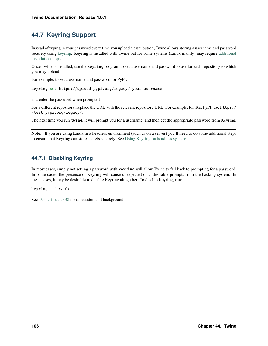# **44.7 Keyring Support**

Instead of typing in your password every time you upload a distribution, Twine allows storing a username and password securely using [keyring.](https://pypi.org/project/keyring/) Keyring is installed with Twine but for some systems (Linux mainly) may require [additional](https://pypi.org/project/keyring/#installation-linux) [installation steps.](https://pypi.org/project/keyring/#installation-linux)

Once Twine is installed, use the keyring program to set a username and password to use for each repository to which you may upload.

For example, to set a username and password for PyPI:

keyring set https://upload.pypi.org/legacy/ your-username

and enter the password when prompted.

For a different repository, replace the URL with the relevant repository URL. For example, for Test PyPI, use https:/ /test.pypi.org/legacy/.

The next time you run twine, it will prompt you for a username, and then get the appropriate password from Keyring.

**Note:** If you are using Linux in a headless environment (such as on a server) you'll need to do some additional steps to ensure that Keyring can store secrets securely. See [Using Keyring on headless systems.](https://keyring.readthedocs.io/en/latest/#using-keyring-on-headless-linux-systems)

#### **44.7.1 Disabling Keyring**

In most cases, simply not setting a password with keyring will allow Twine to fall back to prompting for a password. In some cases, the presence of Keyring will cause unexpected or undesirable prompts from the backing system. In these cases, it may be desirable to disable Keyring altogether. To disable Keyring, run:

#### keyring --disable

See [Twine issue #338](https://github.com/pypa/twine/issues/338) for discussion and background.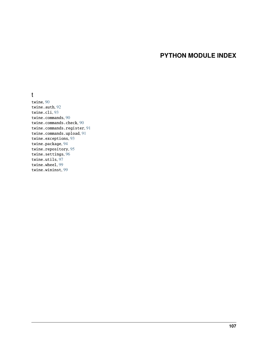# **PYTHON MODULE INDEX**

#### t

twine, [90](#page-95-0) twine.auth, [92](#page-97-0) twine.cli, [93](#page-98-0) twine.commands, [90](#page-95-1) twine.commands.check, [90](#page-95-2) twine.commands.register, [91](#page-96-0) twine.commands.upload, [91](#page-96-1) twine.exceptions, [93](#page-98-1) twine.package, [94](#page-99-0) twine.repository, [95](#page-100-0) twine.settings, [96](#page-101-0) twine.utils, [97](#page-102-0) twine.wheel, [99](#page-104-0) twine.wininst, [99](#page-104-1)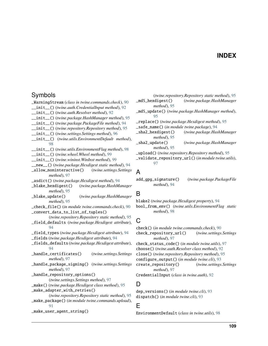### **INDEX**

#### Symbols

\_WarningStream (*class in twine.commands.check*), [90](#page-95-3) \_\_init\_\_() (*twine.auth.CredentialInput method*), [92](#page-97-1) \_\_init\_\_() (*twine.auth.Resolver method*), [92](#page-97-1) \_\_init\_\_() (*twine.package.HashManager method*), [95](#page-100-1) \_\_init\_\_() (*twine.package.PackageFile method*), [94](#page-99-1) \_\_init\_\_() (*twine.repository.Repository method*), [95](#page-100-1) \_\_init\_\_() (*twine.settings.Settings method*), [96](#page-101-1) \_\_init\_\_() (*twine.utils.EnvironmentDefault method*), [98](#page-103-0) \_\_init\_\_() (*twine.utils.EnvironmentFlag method*), [98](#page-103-0) \_\_init\_\_() (*twine.wheel.Wheel method*), [99](#page-104-2) \_\_init\_\_() (*twine.wininst.WinInst method*), [99](#page-104-2) \_\_new\_\_() (*twine.package.Hexdigest static method*), [94](#page-99-1) \_allow\_noninteractive() (*twine.settings.Settings method*), [97](#page-102-1) \_asdict() (*twine.package.Hexdigest method*), [94](#page-99-1) \_blake\_hexdigest() (*twine.package.HashManager method*), [95](#page-100-1) \_blake\_update() (*twine.package.HashManager method*), [95](#page-100-1) \_check\_file() (*in module twine.commands.check*), [90](#page-95-3) \_convert\_data\_to\_list\_of\_tuples() (*twine.repository.Repository static method*), [95](#page-100-1) \_field\_defaults (*twine.package.Hexdigest attribute*), [94](#page-99-1) \_field\_types (*twine.package.Hexdigest attribute*), [94](#page-99-1) \_fields (*twine.package.Hexdigest attribute*), [94](#page-99-1) \_fields\_defaults (*twine.package.Hexdigest attribute*), [94](#page-99-1) \_handle\_certificates() (*twine.settings.Settings method*), [97](#page-102-1) \_handle\_package\_signing() (*twine.settings.Settings method*), [97](#page-102-1) \_handle\_repository\_options() (*twine.settings.Settings method*), [97](#page-102-1) \_make() (*twine.package.Hexdigest class method*), [95](#page-100-1) \_make\_adapter\_with\_retries() (*twine.repository.Repository static method*), [95](#page-100-1) \_make\_package() (*in module twine.commands.upload*), [91](#page-96-2) \_make\_user\_agent\_string()

#### (*twine.repository.Repository static method*), [95](#page-100-1) \_md5\_hexdigest() (*twine.package.HashManager method*), [95](#page-100-1) \_md5\_update() (*twine.package.HashManager method*), [95](#page-100-1) \_replace() (*twine.package.Hexdigest method*), [95](#page-100-1) \_safe\_name() (*in module twine.package*), [94](#page-99-1) \_sha2\_hexdigest() (*twine.package.HashManager method*), [95](#page-100-1) \_sha2\_update() (*twine.package.HashManager*

*method*), [95](#page-100-1)

\_upload() (*twine.repository.Repository method*), [95](#page-100-1)

\_validate\_repository\_url() (*in module twine.utils*), [97](#page-102-1)

#### A

add\_gpg\_signature() (*twine.package.PackageFile method*), [94](#page-99-1)

### B

blake2 (*twine.package.Hexdigest property*), [94](#page-99-1) bool\_from\_env() (*twine.utils.EnvironmentFlag static method*), [98](#page-103-0)

# C

check() (*in module twine.commands.check*), [90](#page-95-3) check\_repository\_url() (*twine.settings.Settings method*), [97](#page-102-1) check\_status\_code() (*in module twine.utils*), [97](#page-102-1) choose() (*twine.auth.Resolver class method*), [92](#page-97-1) close() (*twine.repository.Repository method*), [95](#page-100-1) configure\_output() (*in module twine.cli*), [93](#page-98-2) create\_repository() (*twine.settings.Settings method*), [97](#page-102-1) CredentialInput (*class in twine.auth*), [92](#page-97-1)

### D

dep\_versions() (*in module twine.cli*), [93](#page-98-2) dispatch() (*in module twine.cli*), [93](#page-98-2)

# E

EnvironmentDefault (*class in twine.utils*), [98](#page-103-0)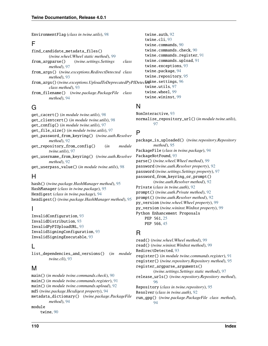EnvironmentFlag (*class in twine.utils*), [98](#page-103-0)

#### F

find\_candidate\_metadata\_files() (*twine.wheel.Wheel static method*), [99](#page-104-2) from\_argparse() (*twine.settings.Settings class method*), [97](#page-102-1) from\_args() (*twine.exceptions.RedirectDetected class method*), [93](#page-98-2) from\_args()(twine.exceptions.UploadToDeprecatedPyPIDetecteting.settings, [96](#page-101-1) *class method*), [93](#page-98-2) from\_filename() (*twine.package.PackageFile class method*), [94](#page-99-1)

# G

get\_cacert() (*in module twine.utils*), [98](#page-103-0) get\_clientcert() (*in module twine.utils*), [98](#page-103-0) get\_config() (*in module twine.utils*), [97](#page-102-1) get\_file\_size() (*in module twine.utils*), [97](#page-102-1) get\_password\_from\_keyring() (*twine.auth.Resolver method*), [92](#page-97-1) get\_repository\_from\_config() (*in module twine.utils*), [97](#page-102-1) get\_username\_from\_keyring() (*twine.auth.Resolver method*), [92](#page-97-1) get\_userpass\_value() (*in module twine.utils*), [98](#page-103-0)

# H

hash() (*twine.package.HashManager method*), [95](#page-100-1) HashManager (*class in twine.package*), [95](#page-100-1) Hexdigest (*class in twine.package*), [94](#page-99-1) hexdigest() (*twine.package.HashManager method*), [95](#page-100-1)

# I

InvalidConfiguration, [93](#page-98-2) InvalidDistribution, [93](#page-98-2) InvalidPyPIUploadURL, [93](#page-98-2) InvalidSigningConfiguration, [93](#page-98-2) InvalidSigningExecutable, [93](#page-98-2)

# L

list\_dependencies\_and\_versions() (*in module twine.cli*), [93](#page-98-2)

# M

main() (*in module twine.commands.check*), [90](#page-95-3) main() (*in module twine.commands.register*), [91](#page-96-2) main() (*in module twine.commands.upload*), [92](#page-97-1) md5 (*twine.package.Hexdigest property*), [94](#page-99-1) metadata\_dictionary() (*twine.package.PackageFile method*), [94](#page-99-1) module

twine, [90](#page-95-3)

```
twine.auth, 92
twine.cli, 93
twine.commands, 90
twine.commands.check, 90
twine.commands.register, 91
twine.commands.upload, 91
twine.exceptions, 93
twine.package, 94
twine.repository, 95
twine.utils, 97
twine.wheel, 99
twine.wininst, 99
```
# N

NonInteractive, [93](#page-98-2) normalize\_repository\_url() (*in module twine.utils*), [97](#page-102-1)

# P

package\_is\_uploaded() (*twine.repository.Repository method*), [95](#page-100-1) PackageFile (*class in twine.package*), [94](#page-99-1) PackageNotFound, [93](#page-98-2) parse() (*twine.wheel.Wheel method*), [99](#page-104-2) password (*twine.auth.Resolver property*), [92](#page-97-1) password (*twine.settings.Settings property*), [97](#page-102-1) password\_from\_keyring\_or\_prompt() (*twine.auth.Resolver method*), [92](#page-97-1) Private (*class in twine.auth*), [92](#page-97-1) prompt() (*twine.auth.Private method*), [92](#page-97-1) prompt() (*twine.auth.Resolver method*), [92](#page-97-1) py\_version (*twine.wheel.Wheel property*), [99](#page-104-2) py\_version (*twine.wininst.WinInst property*), [99](#page-104-2) Python Enhancement Proposals PEP 561, [25](#page-30-0) PEP 566, [45](#page-50-0)

### R

read() (*twine.wheel.Wheel method*), [99](#page-104-2) read() (*twine.wininst.WinInst method*), [99](#page-104-2) RedirectDetected, [93](#page-98-2) register() (*in module twine.commands.register*), [91](#page-96-2) register() (*twine.repository.Repository method*), [95](#page-100-1) register\_argparse\_arguments() (*twine.settings.Settings static method*), [97](#page-102-1) release\_urls() (*twine.repository.Repository method*), [96](#page-101-1) Repository (*class in twine.repository*), [95](#page-100-1) Resolver (*class in twine.auth*), [92](#page-97-1) run\_gpg() (*twine.package.PackageFile class method*), [94](#page-99-1)